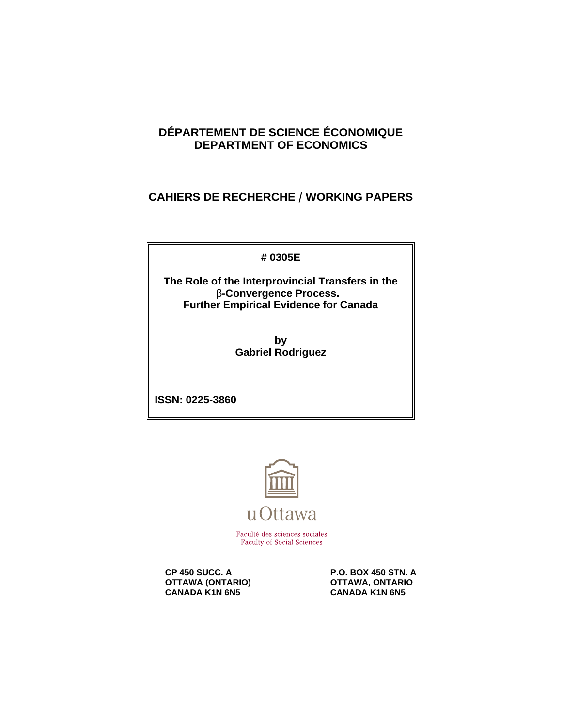# **DÉPARTEMENT DE SCIENCE ÉCONOMIQUE DEPARTMENT OF ECONOMICS**

**CAHIERS DE RECHERCHE / WORKING PAPERS** 

**# 0305E**

**The Role of the Interprovincial Transfers in the** \$**-Convergence Process. Further Empirical Evidence for Canada**

> **by Gabriel Rodriguez**

**ISSN: 0225-3860**



Faculté des sciences sociales **Faculty of Social Sciences** 

**CP 450 SUCC. A P.O. BOX 450 STN. A**<br> **P.O. BOX 450 STN. A** OTTAWA, ONTARIO **OTTAWA (ONTARIO) CANADA KANA CANADA KANA GANADA KANA GANADA KANA GANADA KANA GANADA KANA GANADA KANA GANADA KANA GANADA KANA GANADA KANA GANADA KANA GANADA KANA GANADA KANA GANADA KANA GANADA KANA GANADA KANA GANADA KANA CANADA K1N 6N5**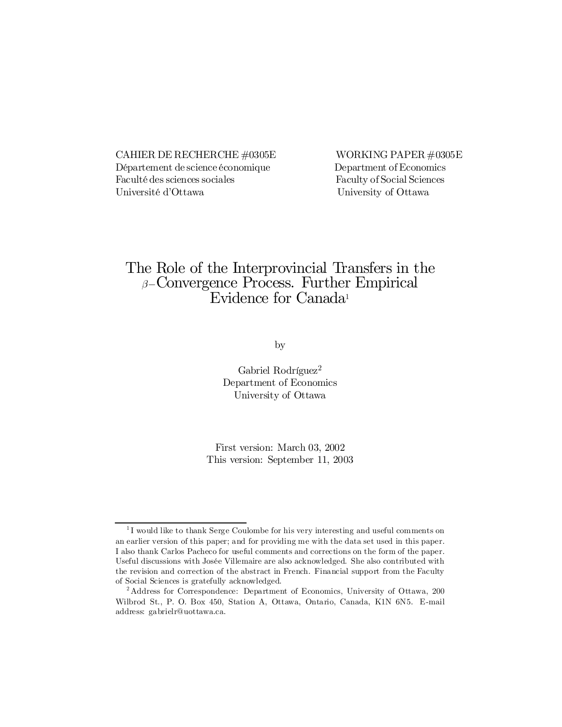CAHIER DE RECHERCHE  $\#0305E$  WORKING PAPER  $\#0305E$ Département de science économique Department of Economics Faculté des sciences sociales Faculty of Social Sciences Université d'Ottawa University of Ottawa

# The Role of the Interprovincial Transfers in the  $\beta$ –Convergence Process. Further Empirical Evidence for Canada<sup>1</sup>

by

Gabriel Rodríguez 2 Department of Economics University of Ottawa

First version: March 03, 2002 This version: September 11, 2003

<sup>&</sup>lt;sup>1</sup>I would like to thank Serge Coulombe for his very interesting and useful comments on an earlier version of this paper; and for providing me with the data set used in this paper. I also thank Carlos Pacheco for useful comments and corrections on the form of the paper. Useful discussions with Josée Villemaire are also acknowledged. She also contributed with the revision and correction of the abstract in French. Financial support from the Faculty of Social Sciences is gratefully acknowledged.

<sup>2</sup> Address for Correspondence: Department of Economics, University of Ottawa, 200 Wilbrod St., P. O. Box 450, Station A, Ottawa, Ontario, Canada, K1N 6N5. E-mail address: gabrielr@uottawa.ca.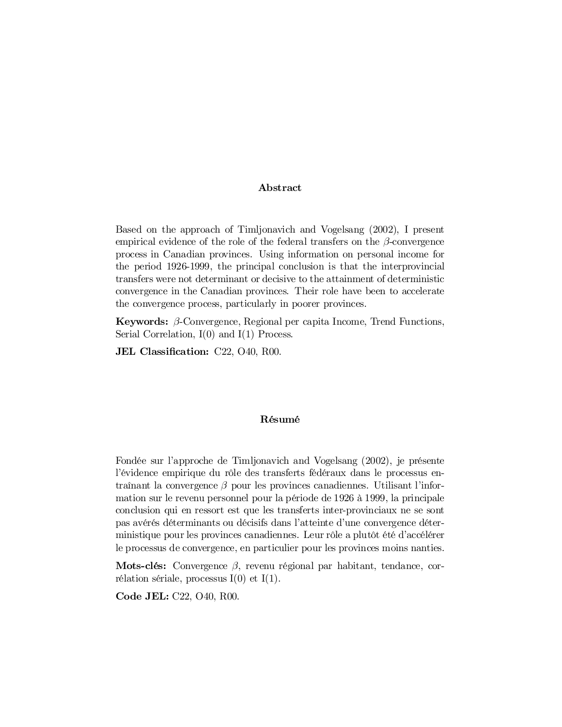#### Abstract

Based on the approach of Timljonavich and Vogelsang (2002), I present empirical evidence of the role of the federal transfers on the  $\beta$ -convergence process in Canadian provinces. Using information on personal income for the period 1926-1999, the principal conclusion is that the interprovincial transfers were not determinant or decisive to the attainment of deterministic convergence in the Canadian provinces. Their role have been to accelerate the convergence process, particularly in poorer provinces.

**Keywords:**  $\beta$ -Convergence, Regional per capita Income, Trend Functions, Serial Correlation,  $I(0)$  and  $I(1)$  Process.

JEL Classification: C22, O40, R00.

#### Résumé

Fondée sur l'approche de Timljonavich and Vogelsang (2002), je présente l'évidence empirique du rôle des transferts fédéraux dans le processus entraînant la convergence  $\beta$  pour les provinces canadiennes. Utilisant l'information sur le revenu personnel pour la période de 1926 à 1999, la principale conclusion qui en ressort est que les transferts inter-provinciaux ne se sont pas avérés déterminants ou décisifs dans l'atteinte d'une convergence déterministique pour les provinces canadiennes. Leur rôle a plutôt été d'accélérer le processus de convergence, en particulier pour les provinces moins nanties.

Mots-clés: Convergence  $\beta$ , revenu régional par habitant, tendance, corrélation sériale, processus  $I(0)$  et  $I(1)$ .

Code JEL: C22, O40, R00.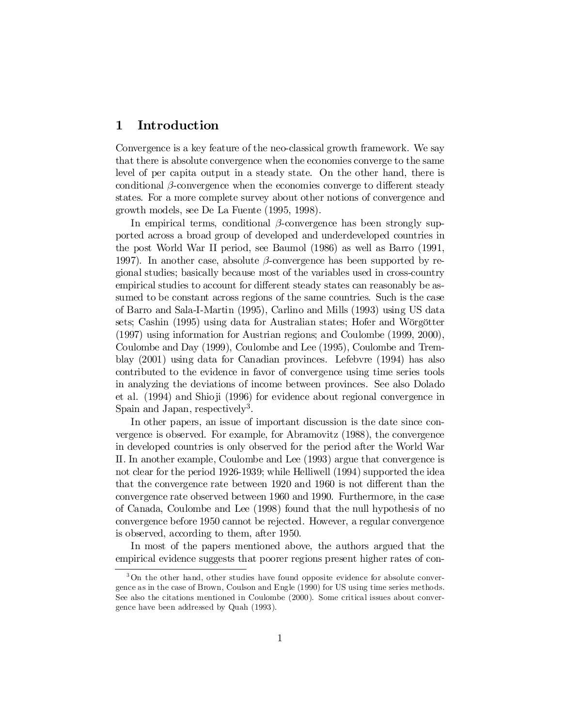## 1 Introduction

Convergence is a key feature of the neo-classical growth framework. We say that there is absolute convergence when the economies converge to the same level of per capita output in a steady state. On the other hand, there is conditional  $\beta$ -convergence when the economies converge to different steady states. For a more complete survey about other notions of convergence and growth models, see De La Fuente (1995, 1998).

In empirical terms, conditional  $\beta$ -convergence has been strongly supported across a broad group of developed and underdeveloped countries in the post World War II period, see Baumol (1986) as well as Barro (1991, 1997). In another case, absolute  $\beta$ -convergence has been supported by regional studies; basically because most of the variables used in cross-country empirical studies to account for different steady states can reasonably be assumed to be constant across regions of the same countries. Such is the case of Barro and Sala-I-Martin (1995), Carlino and Mills (1993) using US data sets; Cashin (1995) using data for Australian states; Hofer and Wörgötter (1997) using information for Austrian regions; and Coulombe (1999, 2000), Coulombe and Day (1999), Coulombe and Lee (1995), Coulombe and Tremblay (2001) using data for Canadian provinces. Lefebvre (1994) has also contributed to the evidence in favor of convergence using time series tools in analyzing the deviations of income between provinces. See also Dolado et al. (1994) and Shioji (1996) for evidence about regional convergence in Spain and Japan, respectively<sup>3</sup>.

In other papers, an issue of important discussion is the date since convergence is observed. For example, for Abramovitz (1988), the convergence in developed countries is only observed for the period after the World War II. In another example, Coulombe and Lee (1993) argue that convergence is not clear for the period 1926-1939; while Helliwell (1994) supported the idea that the convergence rate between  $1920$  and  $1960$  is not different than the convergence rate observed between 1960 and 1990. Furthermore, in the case of Canada, Coulombe and Lee (1998) found that the null hypothesis of no convergence before 1950 cannot be rejected. However, a regular convergence is observed, according to them, after 1950.

In most of the papers mentioned above, the authors argued that the empirical evidence suggests that poorer regions present higher rates of con-

<sup>&</sup>lt;sup>3</sup>On the other hand, other studies have found opposite evidence for absolute convergence as in the case of Brown, Coulson and Engle (1990) for US using time series methods. See also the citations mentioned in Coulombe (2000). Some critical issues about convergence have been addressed by Quah (1993).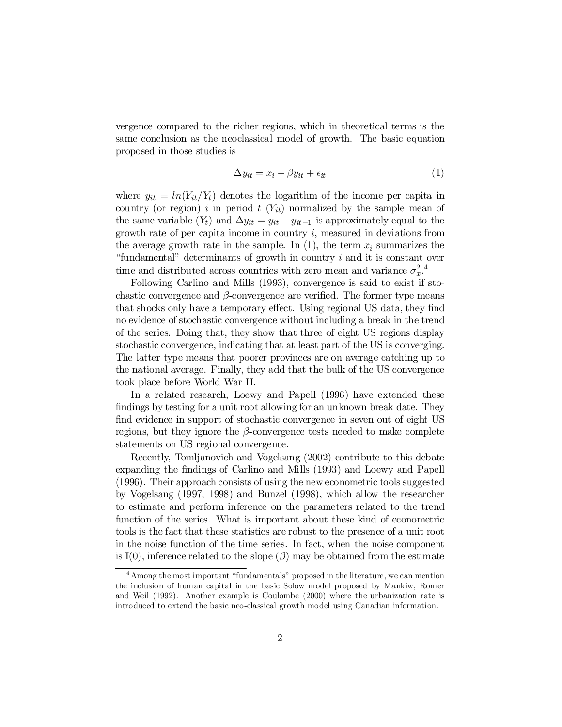vergence compared to the richer regions, which in theoretical terms is the same conclusion as the neoclassical model of growth. The basic equation proposed in those studies is

$$
\Delta y_{it} = x_i - \beta y_{it} + \epsilon_{it} \tag{1}
$$

where  $y_{it} = ln(Y_{it}/Y_t)$  denotes the logarithm of the income per capita in country (or region) i in period  $t(Y_{it})$  normalized by the sample mean of the same variable  $(Y_t)$  and  $\Delta y_{it} = y_{it} - y_{it-1}$  is approximately equal to the growth rate of per capita income in country  $i$ , measured in deviations from the average growth rate in the sample. In  $(1)$ , the term  $x_i$  summarizes the "fundamental" determinants of growth in country i and it is constant over time and distributed across countries with zero mean and variance  $\sigma_x^2$ .<sup>4</sup>

Following Carlino and Mills (1993), convergence is said to exist if stochastic convergence and  $\beta$ -convergence are verified. The former type means that shocks only have a temporary effect. Using regional US data, they find no evidence of stochastic convergence without including a break in the trend of the series. Doing that, they show that three of eight US regions display stochastic convergence, indicating that at least part of the US is converging. The latter type means that poorer provinces are on average catching up to the national average. Finally, they add that the bulk of the US convergence took place before World War II.

In a related research, Loewy and Papell (1996) have extended these findings by testing for a unit root allowing for an unknown break date. They find evidence in support of stochastic convergence in seven out of eight US regions, but they ignore the  $\beta$ -convergence tests needed to make complete statements on US regional convergence.

Recently, Tomljanovich and Vogelsang (2002) contribute to this debate expanding the findings of Carlino and Mills (1993) and Loewy and Papell (1996). Their approach consists of using the new econometric tools suggested by Vogelsang (1997, 1998) and Bunzel (1998), which allow the researcher to estimate and perform inference on the parameters related to the trend function of the series. What is important about these kind of econometric tools is the fact that these statistics are robust to the presence of a unit root in the noise function of the time series. In fact, when the noise component is I(0), inference related to the slope  $(\beta)$  may be obtained from the estimate

<sup>4</sup> Among the most important "fundamentals" proposed in the literature, we can mention the inclusion of human capital in the basic Solow model proposed by Mankiw, Romer and Weil (1992). Another example is Coulombe (2000) where the urbanization rate is introduced to extend the basic neo-classical growth model using Canadian information.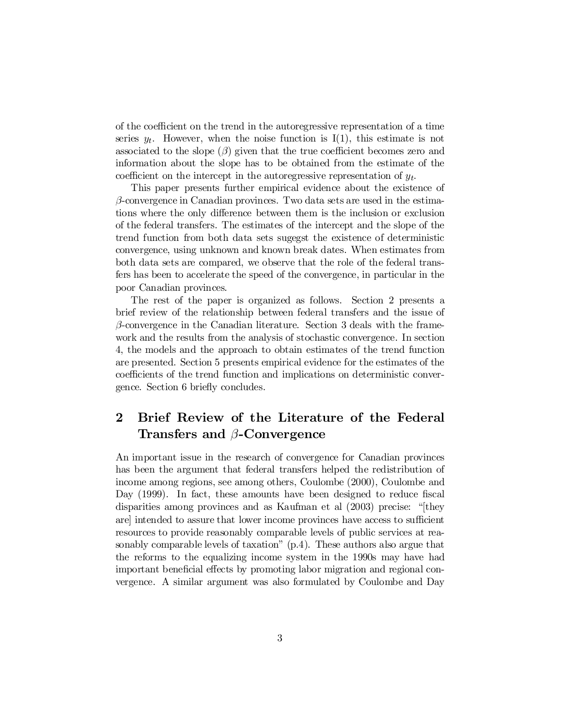of the coefficient on the trend in the autoregressive representation of a time series  $y_t$ . However, when the noise function is I(1), this estimate is not associated to the slope  $(\beta)$  given that the true coefficient becomes zero and information about the slope has to be obtained from the estimate of the coefficient on the intercept in the autoregressive representation of  $y_t$ .

This paper presents further empirical evidence about the existence of  $\beta$ -convergence in Canadian provinces. Two data sets are used in the estimations where the only difference between them is the inclusion or exclusion of the federal transfers. The estimates of the intercept and the slope of the trend function from both data sets sugegst the existence of deterministic convergence, using unknown and known break dates. When estimates from both data sets are compared, we observe that the role of the federal transfers has been to accelerate the speed of the convergence, in particular in the poor Canadian provinces.

The rest of the paper is organized as follows. Section 2 presents a brief review of the relationship between federal transfers and the issue of  $\beta$ -convergence in the Canadian literature. Section 3 deals with the framework and the results from the analysis of stochastic convergence. In section 4, the models and the approach to obtain estimates of the trend function are presented. Section 5 presents empirical evidence for the estimates of the coefficients of the trend function and implications on deterministic convergence. Section 6 briefly concludes.

# 2 Brief Review of the Literature of the Federal Transfers and  $\beta$ -Convergence

An important issue in the research of convergence for Canadian provinces has been the argument that federal transfers helped the redistribution of income among regions, see among others, Coulombe (2000), Coulombe and Day  $(1999)$ . In fact, these amounts have been designed to reduce fiscal disparities among provinces and as Kaufman et al (2003) precise: "[they are] intended to assure that lower income provinces have access to sufficient resources to provide reasonably comparable levels of public services at reasonably comparable levels of taxation" (p.4). These authors also argue that the reforms to the equalizing income system in the 1990s may have had important beneficial effects by promoting labor migration and regional convergence. A similar argument was also formulated by Coulombe and Day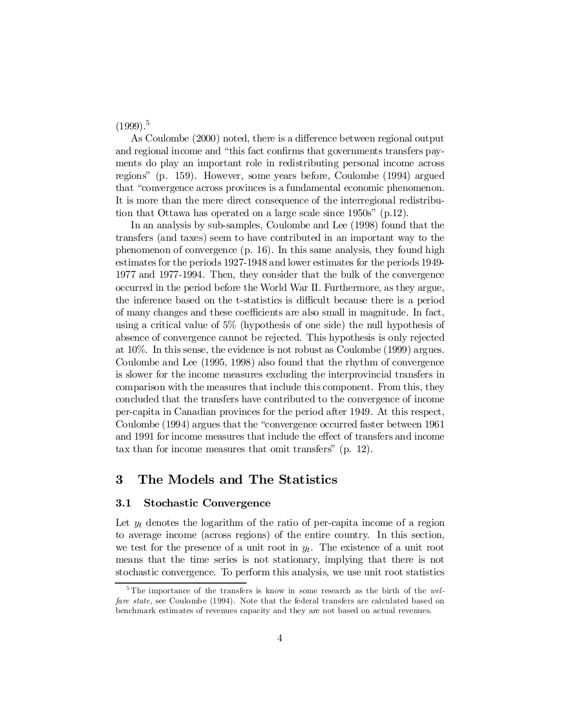$(1999).$ <sup>5</sup>

As Coulombe (2000) noted, there is a difference between regional output and regional income and "this fact confirms that governments transfers payments do play an important role in redistributing personal income across regions" (p. 159). However, some years before, Coulombe (1994) argued that "convergence across provinces is a fundamental economic phenomenon. It is more than the mere direct consequence of the interregional redistribution that Ottawa has operated on a large scale since 1950s" (p.12).

In an analysis by sub-samples, Coulombe and Lee (1998) found that the transfers (and taxes) seem to have contributed in an important way to the phenomenon of convergence (p. 16). In this same analysis, they found high estimates for the periods 1927-1948 and lower estimates for the periods 1949- 1977 and 1977-1994. Then, they consider that the bulk of the convergence occurred in the period before the World War II. Furthermore, as they argue, the inference based on the t-statistics is difficult because there is a period of many changes and these coefficients are also small in magnitude. In fact, using a critical value of 5% (hypothesis of one side) the null hypothesis of absence of convergence cannot be rejected. This hypothesis is only rejected at 10%. In this sense, the evidence is not robust as Coulombe (1999) argues. Coulombe and Lee (1995, 1998) also found that the rhythm of convergence is slower for the income measures excluding the interprovincial transfers in comparison with the measures that include this component. From this, they concluded that the transfers have contributed to the convergence of income per-capita in Canadian provinces for the period after 1949. At this respect, Coulombe (1994) argues that the "convergence occurred faster between 1961 and 1991 for income measures that include the effect of transfers and income tax than for income measures that omit transfers" (p. 12).

### 3 The Models and The Statistics

#### 3.1 Stochastic Convergence

Let  $y_t$  denotes the logarithm of the ratio of per-capita income of a region to average income (across regions) of the entire country. In this section, we test for the presence of a unit root in  $y_t$ . The existence of a unit root means that the time series is not stationary, implying that there is not stochastic convergence. To perform this analysis, we use unit root statistics

<sup>&</sup>lt;sup>5</sup>The importance of the transfers is know in some research as the birth of the welfare state, see Coulombe (1994). Note that the federal transfers are calculated based on benchmark estimates of revenues capacity and they are not based on actual revenues.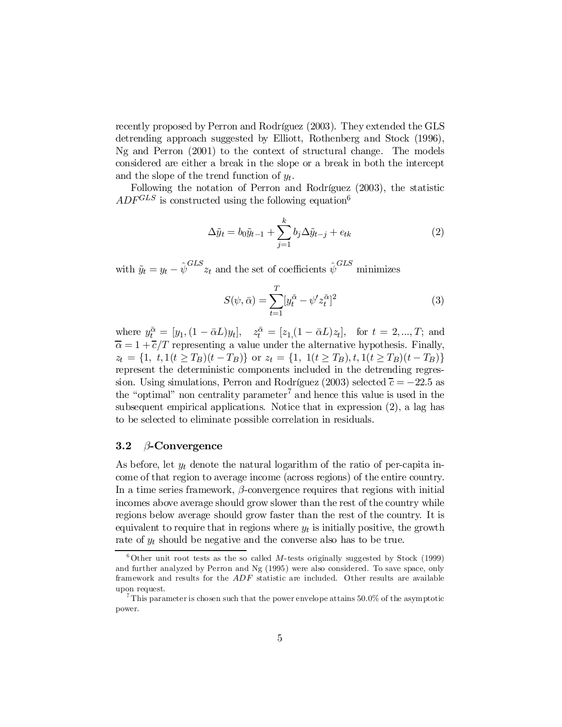recently proposed by Perron and Rodríguez (2003). They extended the GLS detrending approach suggested by Elliott, Rothenberg and Stock (1996), Ng and Perron (2001) to the context of structural change. The models considered are either a break in the slope or a break in both the intercept and the slope of the trend function of  $y_t$ .

Following the notation of Perron and Rodríguez (2003), the statistic  $ADF^{GLS}$  is constructed using the following equation<sup>6</sup>

$$
\Delta \tilde{y}_t = b_0 \tilde{y}_{t-1} + \sum_{j=1}^k b_j \Delta \tilde{y}_{t-j} + e_{tk}
$$
\n(2)

with  $\tilde{y}_t = y_t - \hat{\psi}^{GLS} z_t$  and the set of coefficients  $\hat{\psi}^{GLS}$  minimizes

$$
S(\psi, \bar{\alpha}) = \sum_{t=1}^{T} [y_t^{\bar{\alpha}} - \psi' z_t^{\bar{\alpha}}]^2
$$
\n(3)

where  $y_t^{\bar{\alpha}} = [y_1, (1 - \bar{\alpha}L)y_t], \quad z_t^{\bar{\alpha}} = [z_1, (1 - \bar{\alpha}L)z_t], \text{ for } t = 2, ..., T; \text{ and}$  $\overline{\alpha} = 1 + \overline{c}/T$  representing a value under the alternative hypothesis. Finally,  $z_t = \{1, t, 1(t \ge T_B)(t - T_B)\}\$  or  $z_t = \{1, 1(t \ge T_B), t, 1(t \ge T_B)(t - T_B)\}\$ represent the deterministic components included in the detrending regression. Using simulations, Perron and Rodríguez (2003) selected  $\bar{c} = -22.5$  as the "optimal" non centrality parameter<sup>7</sup> and hence this value is used in the subsequent empirical applications. Notice that in expression (2), a lag has to be selected to eliminate possible correlation in residuals.

### 3.2  $\beta$ -Convergence

As before, let  $y_t$  denote the natural logarithm of the ratio of per-capita income of that region to average income (across regions) of the entire country. In a time series framework,  $\beta$ -convergence requires that regions with initial incomes above average should grow slower than the rest of the country while regions below average should grow faster than the rest of the country. It is equivalent to require that in regions where  $y_t$  is initially positive, the growth rate of  $y_t$  should be negative and the converse also has to be true.

 $6$  Other unit root tests as the so called M-tests originally suggested by Stock (1999) and further analyzed by Perron and Ng (1995) were also considered. To save space, only framework and results for the ADF statistic are included. Other results are available upon request.

This parameter is chosen such that the power envelope attains  $50.0\%$  of the asymptotic power.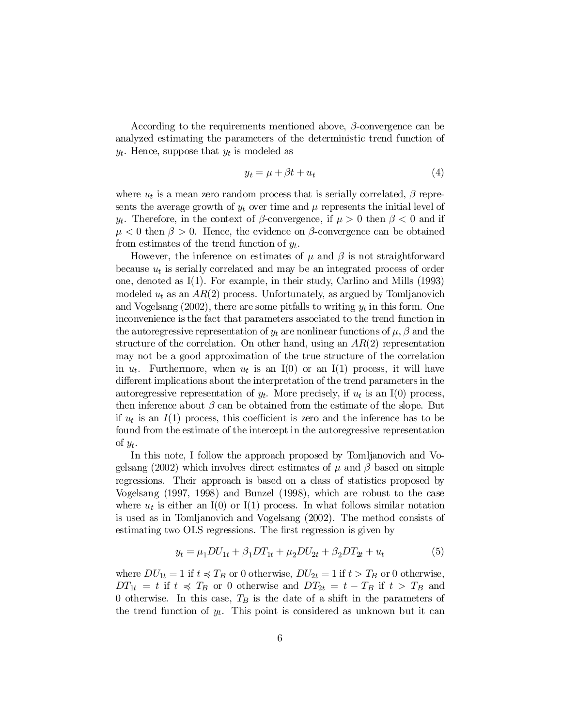According to the requirements mentioned above,  $\beta$ -convergence can be analyzed estimating the parameters of the deterministic trend function of  $y_t$ . Hence, suppose that  $y_t$  is modeled as

$$
y_t = \mu + \beta t + u_t \tag{4}
$$

where  $u_t$  is a mean zero random process that is serially correlated,  $\beta$  represents the average growth of  $y_t$  over time and  $\mu$  represents the initial level of  $y_t$ . Therefore, in the context of  $\beta$ -convergence, if  $\mu > 0$  then  $\beta < 0$  and if  $\mu < 0$  then  $\beta > 0$ . Hence, the evidence on  $\beta$ -convergence can be obtained from estimates of the trend function of  $y_t$ .

However, the inference on estimates of  $\mu$  and  $\beta$  is not straightforward because  $u_t$  is serially correlated and may be an integrated process of order one, denoted as I(1). For example, in their study, Carlino and Mills (1993) modeled  $u_t$  as an  $AR(2)$  process. Unfortunately, as argued by Tomljanovich and Vogelsang  $(2002)$ , there are some pitfalls to writing  $y_t$  in this form. One inconvenience is the fact that parameters associated to the trend function in the autoregressive representation of  $y_t$  are nonlinear functions of  $\mu$ ,  $\beta$  and the structure of the correlation. On other hand, using an  $AR(2)$  representation may not be a good approximation of the true structure of the correlation in  $u_t$ . Furthermore, when  $u_t$  is an I(0) or an I(1) process, it will have different implications about the interpretation of the trend parameters in the autoregressive representation of  $y_t$ . More precisely, if  $u_t$  is an I(0) process, then inference about  $\beta$  can be obtained from the estimate of the slope. But if  $u_t$  is an  $I(1)$  process, this coefficient is zero and the inference has to be found from the estimate of the intercept in the autoregressive representation of  $y_t$ .

In this note, I follow the approach proposed by Tomljanovich and Vogelsang (2002) which involves direct estimates of  $\mu$  and  $\beta$  based on simple regressions. Their approach is based on a class of statistics proposed by Vogelsang (1997, 1998) and Bunzel (1998), which are robust to the case where  $u_t$  is either an I(0) or I(1) process. In what follows similar notation is used as in Tomljanovich and Vogelsang (2002). The method consists of estimating two OLS regressions. The first regression is given by

$$
y_t = \mu_1 DU_{1t} + \beta_1 DT_{1t} + \mu_2 DU_{2t} + \beta_2 DT_{2t} + u_t \tag{5}
$$

where  $DU_{1t} = 1$  if  $t \preccurlyeq T_B$  or 0 otherwise,  $DU_{2t} = 1$  if  $t > T_B$  or 0 otherwise,  $DT_{1t} = t$  if  $t \preccurlyeq T_B$  or 0 otherwise and  $DT_{2t} = t - T_B$  if  $t > T_B$  and 0 otherwise. In this case,  $T_B$  is the date of a shift in the parameters of the trend function of  $y_t$ . This point is considered as unknown but it can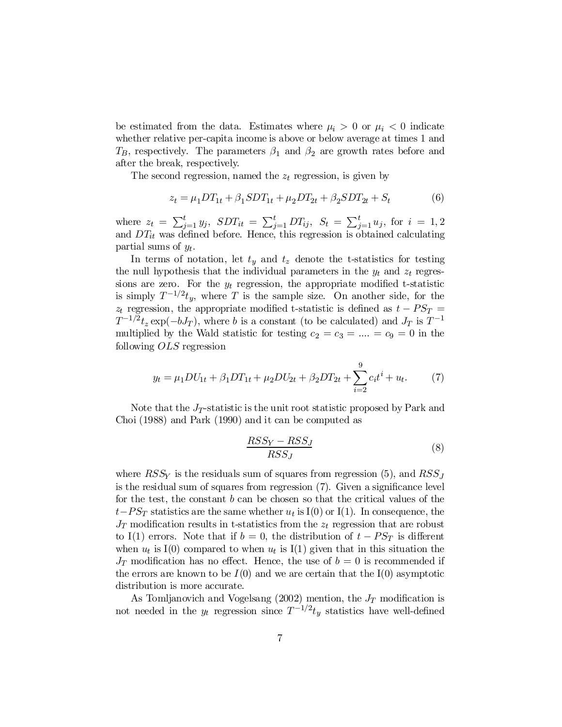be estimated from the data. Estimates where  $\mu_i > 0$  or  $\mu_i < 0$  indicate whether relative per-capita income is above or below average at times 1 and  $T_B$ , respectively. The parameters  $\beta_1$  and  $\beta_2$  are growth rates before and after the break, respectively.

The second regression, named the  $z_t$  regression, is given by

$$
z_t = \mu_1 DT_{1t} + \beta_1 SDT_{1t} + \mu_2 DT_{2t} + \beta_2 SDT_{2t} + S_t \tag{6}
$$

where  $z_t = \sum_{j=1}^t y_j$ ,  $SDT_{it} = \sum_{j=1}^t DT_{ij}$ ,  $S_t = \sum_{j=1}^t u_j$ , for  $i = 1, 2$ and  $DT_{it}$  was defined before. Hence, this regression is obtained calculating partial sums of  $y_t$ .

In terms of notation, let  $t<sub>y</sub>$  and  $t<sub>z</sub>$  denote the t-statistics for testing the null hypothesis that the individual parameters in the  $y_t$  and  $z_t$  regressions are zero. For the  $y_t$  regression, the appropriate modified t-statistic is simply  $T^{-1/2}t_y$ , where T is the sample size. On another side, for the  $z_t$  regression, the appropriate modified t-statistic is defined as  $t - PS_T$  =  $T^{-1/2}t_z \exp(-bJ_T)$ , where b is a constant (to be calculated) and  $J_T$  is  $T^{-1}$ multiplied by the Wald statistic for testing  $c_2 = c_3 = ... = c_9 = 0$  in the following OLS regression

$$
y_t = \mu_1 DU_{1t} + \beta_1 DT_{1t} + \mu_2 DU_{2t} + \beta_2 DT_{2t} + \sum_{i=2}^{9} c_i t^i + u_t.
$$
 (7)

Note that the  $J_T$ -statistic is the unit root statistic proposed by Park and Choi (1988) and Park (1990) and it can be computed as

$$
\frac{RSS_Y - RSS_J}{RSS_J} \tag{8}
$$

where  $RSS_{Y}$  is the residuals sum of squares from regression (5), and  $RSS_{J}$ is the residual sum of squares from regression  $(7)$ . Given a significance level for the test, the constant  $b$  can be chosen so that the critical values of the  $t$ - $PS_T$  statistics are the same whether  $u_t$  is I(0) or I(1). In consequence, the  $J_T$  modification results in t-statistics from the  $z_t$  regression that are robust to I(1) errors. Note that if  $b = 0$ , the distribution of  $t - PS_T$  is different when  $u_t$  is I(0) compared to when  $u_t$  is I(1) given that in this situation the  $J_T$  modification has no effect. Hence, the use of  $b = 0$  is recommended if the errors are known to be  $I(0)$  and we are certain that the  $I(0)$  asymptotic distribution is more accurate.

As Tomljanovich and Vogelsang (2002) mention, the  $J_T$  modification is not needed in the  $y_t$  regression since  $T^{-1/2}t_y$  statistics have well-defined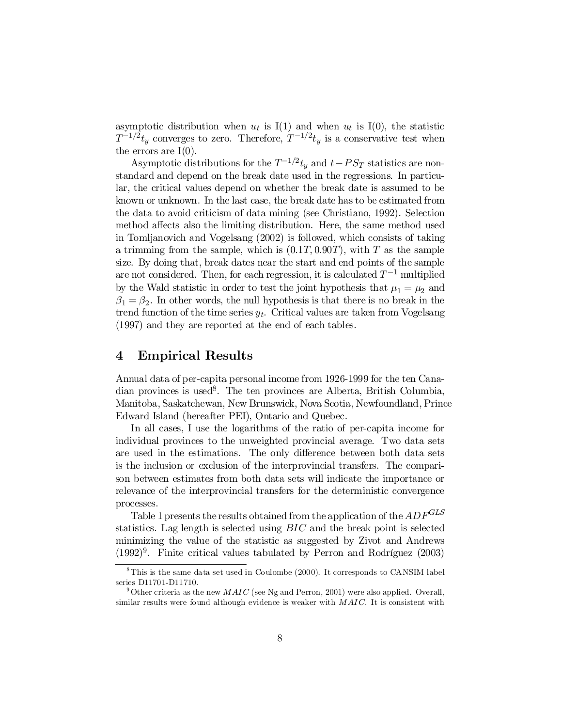asymptotic distribution when  $u_t$  is I(1) and when  $u_t$  is I(0), the statistic  $T^{-1/2}t_y$  converges to zero. Therefore,  $T^{-1/2}t_y$  is a conservative test when the errors are  $I(0)$ .

Asymptotic distributions for the  $T^{-1/2}t_y$  and  $t - PS_T$  statistics are nonstandard and depend on the break date used in the regressions. In particular, the critical values depend on whether the break date is assumed to be known or unknown. In the last case, the break date has to be estimated from the data to avoid criticism of data mining (see Christiano, 1992). Selection method affects also the limiting distribution. Here, the same method used in Tomljanovich and Vogelsang (2002) is followed, which consists of taking a trimming from the sample, which is  $(0.1T, 0.90T)$ , with T as the sample size. By doing that, break dates near the start and end points of the sample are not considered. Then, for each regression, it is calculated  $T^{-1}$  multiplied by the Wald statistic in order to test the joint hypothesis that  $\mu_1 = \mu_2$  and  $\beta_1 = \beta_2$ . In other words, the null hypothesis is that there is no break in the trend function of the time series  $y_t$ . Critical values are taken from Vogelsang (1997) and they are reported at the end of each tables.

## 4 Empirical Results

Annual data of per-capita personal income from 1926-1999 for the ten Canadian provinces is used 8 . The ten provinces are Alberta, British Columbia, Manitoba, Saskatchewan, New Brunswick, Nova Scotia, Newfoundland, Prince Edward Island (hereafter PEI), Ontario and Quebec.

In all cases, I use the logarithms of the ratio of per-capita income for individual provinces to the unweighted provincial average. Two data sets are used in the estimations. The only difference between both data sets is the inclusion or exclusion of the interprovincial transfers. The comparison between estimates from both data sets will indicate the importance or relevance of the interprovincial transfers for the deterministic convergence processes.

Table 1 presents the results obtained from the application of the  $ADF^{GLS}$ statistics. Lag length is selected using  $BIC$  and the break point is selected minimizing the value of the statistic as suggested by Zivot and Andrews  $(1992)^9$ . Finite critical values tabulated by Perron and Rodríguez  $(2003)$ 

 $8$ This is the same data set used in Coulombe (2000). It corresponds to CANSIM label series D11701-D11710.

<sup>&</sup>lt;sup>9</sup> Other criteria as the new  $MAC$  (see Ng and Perron, 2001) were also applied. Overall, similar results were found although evidence is weaker with MAIC. It is consistent with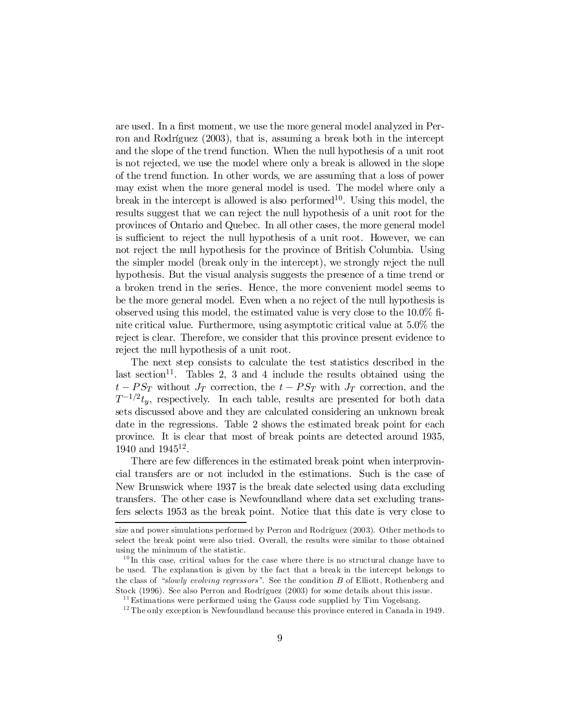are used. In a first moment, we use the more general model analyzed in Perron and Rodríguez (2003), that is, assuming a break both in the intercept and the slope of the trend function. When the null hypothesis of a unit root is not rejected, we use the model where only a break is allowed in the slope of the trend function. In other words, we are assuming that a loss of power may exist when the more general model is used. The model where only a break in the intercept is allowed is also performed 10 . Using this model, the results suggest that we can reject the null hypothesis of a unit root for the provinces of Ontario and Quebec. In all other cases, the more general model is sufficient to reject the null hypothesis of a unit root. However, we can not reject the null hypothesis for the province of British Columbia. Using the simpler model (break only in the intercept), we strongly reject the null hypothesis. But the visual analysis suggests the presence of a time trend or a broken trend in the series. Hence, the more convenient model seems to be the more general model. Even when a no reject of the null hypothesis is observed using this model, the estimated value is very close to the  $10.0\%$  finite critical value. Furthermore, using asymptotic critical value at 5.0% the reject is clear. Therefore, we consider that this province present evidence to reject the null hypothesis of a unit root.

The next step consists to calculate the test statistics described in the last section<sup>11</sup>. Tables 2, 3 and 4 include the results obtained using the  $t - PS_T$  without  $J_T$  correction, the  $t - PS_T$  with  $J_T$  correction, and the  $T^{-1/2}t_y$ , respectively. In each table, results are presented for both data sets discussed above and they are calculated considering an unknown break date in the regressions. Table 2 shows the estimated break point for each province. It is clear that most of break points are detected around 1935, 1940 and 1945<sup>12</sup>.

There are few differences in the estimated break point when interprovincial transfers are or not included in the estimations. Such is the case of New Brunswick where 1937 is the break date selected using data excluding transfers. The other case is Newfoundland where data set excluding transfers selects 1953 as the break point. Notice that this date is very close to

size and power simulations performed by Perron and Rodríguez (2003). Other methods to select the break point were also tried. Overall, the results were similar to those obtained using the minimum of the statistic.

<sup>&</sup>lt;sup>10</sup>In this case, critical values for the case where there is no structural change have to be used. The explanation is given by the fact that a break in the intercept belongs to the class of "slowly evolving regressors". See the condition B of Elliott, Rothenberg and Stock (1996). See also Perron and Rodríguez (2003) for some details about this issue.

 $11$ Estimations were performed using the Gauss code supplied by Tim Vogelsang.

 $12$  The only exception is Newfoundland because this province entered in Canada in 1949.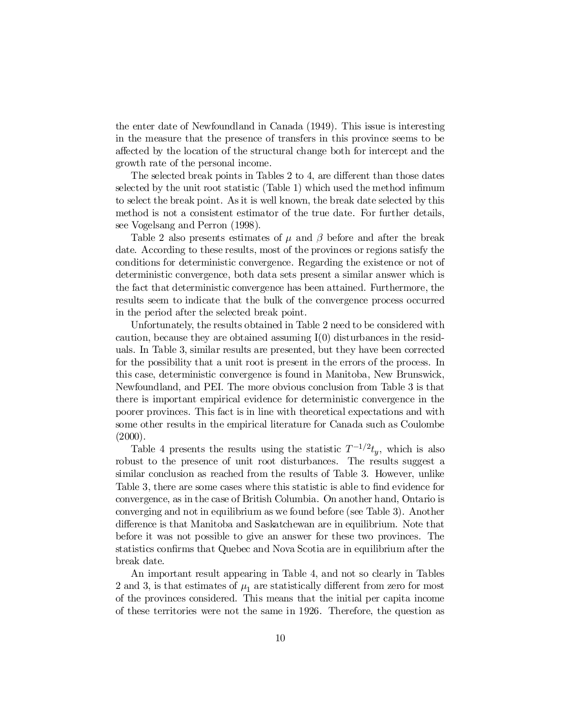the enter date of Newfoundland in Canada (1949). This issue is interesting in the measure that the presence of transfers in this province seems to be affected by the location of the structural change both for intercept and the growth rate of the personal income.

The selected break points in Tables 2 to 4, are different than those dates selected by the unit root statistic (Table 1) which used the method infimum to select the break point. As it is well known, the break date selected by this method is not a consistent estimator of the true date. For further details, see Vogelsang and Perron (1998).

Table 2 also presents estimates of  $\mu$  and  $\beta$  before and after the break date. According to these results, most of the provinces or regions satisfy the conditions for deterministic convergence. Regarding the existence or not of deterministic convergence, both data sets present a similar answer which is the fact that deterministic convergence has been attained. Furthermore, the results seem to indicate that the bulk of the convergence process occurred in the period after the selected break point.

Unfortunately, the results obtained in Table 2 need to be considered with caution, because they are obtained assuming  $I(0)$  disturbances in the residuals. In Table 3, similar results are presented, but they have been corrected for the possibility that a unit root is present in the errors of the process. In this case, deterministic convergence is found in Manitoba, New Brunswick, Newfoundland, and PEI. The more obvious conclusion from Table 3 is that there is important empirical evidence for deterministic convergence in the poorer provinces. This fact is in line with theoretical expectations and with some other results in the empirical literature for Canada such as Coulombe  $(2000).$ 

Table 4 presents the results using the statistic  $T^{-1/2}t_y$ , which is also robust to the presence of unit root disturbances. The results suggest a similar conclusion as reached from the results of Table 3. However, unlike Table 3, there are some cases where this statistic is able to find evidence for convergence, as in the case of British Columbia. On another hand, Ontario is converging and not in equilibrium as we found before (see Table 3). Another difference is that Manitoba and Saskatchewan are in equilibrium. Note that before it was not possible to give an answer for these two provinces. The statistics confirms that Quebec and Nova Scotia are in equilibrium after the break date.

An important result appearing in Table 4, and not so clearly in Tables 2 and 3, is that estimates of  $\mu_1$  are statistically different from zero for most of the provinces considered. This means that the initial per capita income of these territories were not the same in 1926. Therefore, the question as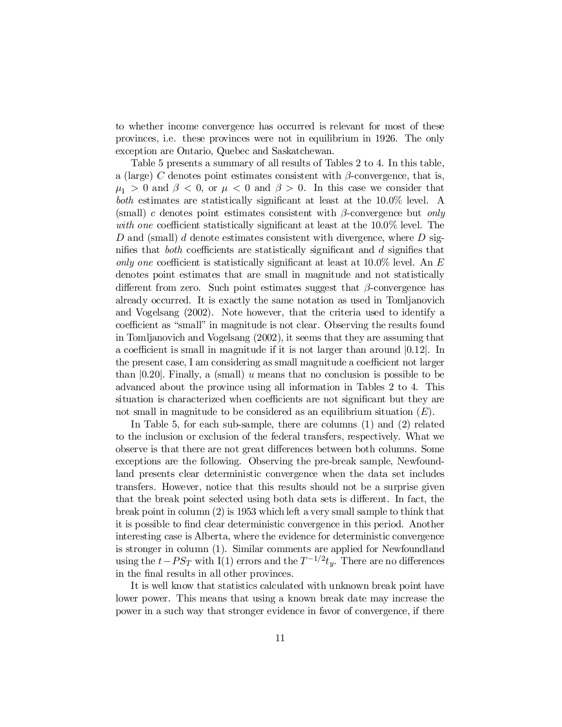to whether income convergence has occurred is relevant for most of these provinces, i.e. these provinces were not in equilibrium in 1926. The only exception are Ontario, Quebec and Saskatchewan.

Table 5 presents a summary of all results of Tables 2 to 4. In this table, a (large) C denotes point estimates consistent with  $\beta$ -convergence, that is,  $\mu_1 > 0$  and  $\beta < 0$ , or  $\mu < 0$  and  $\beta > 0$ . In this case we consider that both estimates are statistically significant at least at the  $10.0\%$  level. A (small) c denotes point estimates consistent with  $\beta$ -convergence but only with one coefficient statistically significant at least at the  $10.0\%$  level. The D and (small) d denote estimates consistent with divergence, where  $D$  signifies that *both* coefficients are statistically significant and  $d$  signifies that only one coefficient is statistically significant at least at  $10.0\%$  level. An E denotes point estimates that are small in magnitude and not statistically different from zero. Such point estimates suggest that  $\beta$ -convergence has already occurred. It is exactly the same notation as used in Tomljanovich and Vogelsang (2002). Note however, that the criteria used to identify a coefficient as "small" in magnitude is not clear. Observing the results found in Tomljanovich and Vogelsang (2002), it seems that they are assuming that a coefficient is small in magnitude if it is not larger than around  $|0.12|$ . In the present case, I am considering as small magnitude a coefficient not larger than  $[0.20]$ . Finally, a (small) u means that no conclusion is possible to be advanced about the province using all information in Tables 2 to 4. This situation is characterized when coefficients are not significant but they are not small in magnitude to be considered as an equilibrium situation  $(E)$ .

In Table 5, for each sub-sample, there are columns (1) and (2) related to the inclusion or exclusion of the federal transfers, respectively. What we observe is that there are not great differences between both columns. Some exceptions are the following. Observing the pre-break sample, Newfoundland presents clear deterministic convergence when the data set includes transfers. However, notice that this results should not be a surprise given that the break point selected using both data sets is different. In fact, the break point in column (2) is 1953 which left a very small sample to think that it is possible to find clear deterministic convergence in this period. Another interesting case is Alberta, where the evidence for deterministic convergence is stronger in column (1). Similar comments are applied for Newfoundland using the  $t - PS_T$  with I(1) errors and the  $T^{-1/2}t_y$ . There are no differences in the final results in all other provinces.

It is well know that statistics calculated with unknown break point have lower power. This means that using a known break date may increase the power in a such way that stronger evidence in favor of convergence, if there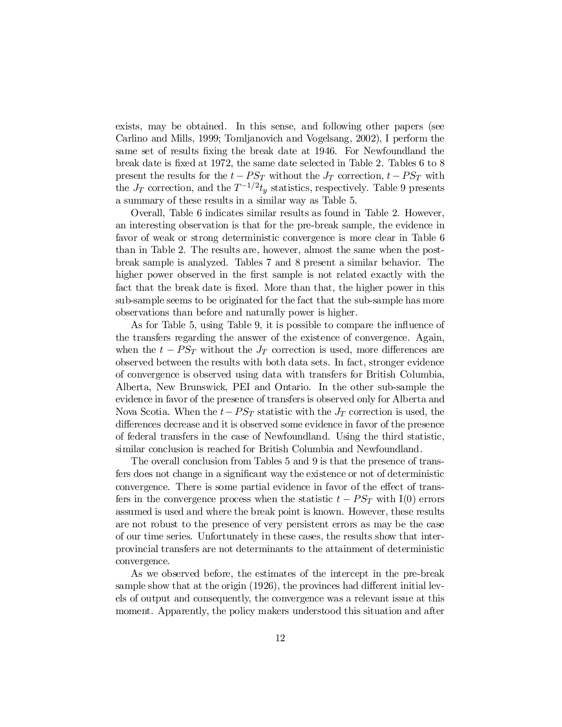exists, may be obtained. In this sense, and following other papers (see Carlino and Mills, 1999; Tomljanovich and Vogelsang, 2002), I perform the same set of results fixing the break date at 1946. For Newfoundland the break date is fixed at 1972, the same date selected in Table 2. Tables  $6 \text{ to } 8$ present the results for the  $t - PS_T$  without the  $J_T$  correction,  $t - PS_T$  with the  $J_T$  correction, and the  $T^{-1/2}t_y$  statistics, respectively. Table 9 presents a summary of these results in a similar way as Table 5.

Overall, Table 6 indicates similar results as found in Table 2. However, an interesting observation is that for the pre-break sample, the evidence in favor of weak or strong deterministic convergence is more clear in Table 6 than in Table 2. The results are, however, almost the same when the postbreak sample is analyzed. Tables 7 and 8 present a similar behavior. The higher power observed in the first sample is not related exactly with the fact that the break date is fixed. More than that, the higher power in this sub-sample seems to be originated for the fact that the sub-sample has more observations than before and naturally power is higher.

As for Table 5, using Table 9, it is possible to compare the influence of the transfers regarding the answer of the existence of convergence. Again, when the  $t - PS_T$  without the  $J_T$  correction is used, more differences are observed between the results with both data sets. In fact, stronger evidence of convergence is observed using data with transfers for British Columbia, Alberta, New Brunswick, PEI and Ontario. In the other sub-sample the evidence in favor of the presence of transfers is observed only for Alberta and Nova Scotia. When the  $t - PS_T$  statistic with the  $J_T$  correction is used, the differences decrease and it is observed some evidence in favor of the presence of federal transfers in the case of Newfoundland. Using the third statistic, similar conclusion is reached for British Columbia and Newfoundland.

The overall conclusion from Tables 5 and 9 is that the presence of transfers does not change in a significant way the existence or not of deterministic convergence. There is some partial evidence in favor of the effect of transfers in the convergence process when the statistic  $t - PS_T$  with I(0) errors assumed is used and where the break point is known. However, these results are not robust to the presence of very persistent errors as may be the case of our time series. Unfortunately in these cases, the results show that interprovincial transfers are not determinants to the attainment of deterministic convergence.

As we observed before, the estimates of the intercept in the pre-break sample show that at the origin  $(1926)$ , the provinces had different initial levels of output and consequently, the convergence was a relevant issue at this moment. Apparently, the policy makers understood this situation and after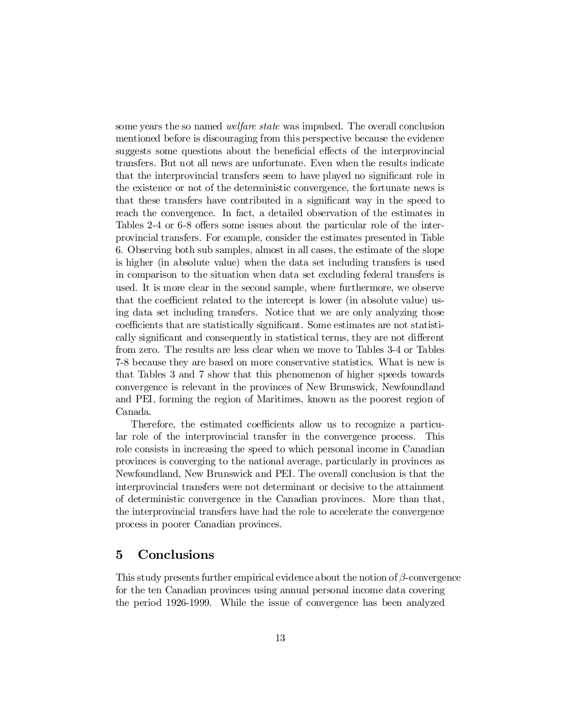some years the so named *welfare state* was impulsed. The overall conclusion mentioned before is discouraging from this perspective because the evidence suggests some questions about the beneficial effects of the interprovincial transfers. But not all news are unfortunate. Even when the results indicate that the interprovincial transfers seem to have played no significant role in the existence or not of the deterministic convergence, the fortunate news is that these transfers have contributed in a significant way in the speed to reach the convergence. In fact, a detailed observation of the estimates in Tables 2-4 or 6-8 offers some issues about the particular role of the interprovincial transfers. For example, consider the estimates presented in Table 6. Observing both sub samples, almost in all cases, the estimate of the slope is higher (in absolute value) when the data set including transfers is used in comparison to the situation when data set excluding federal transfers is used. It is more clear in the second sample, where furthermore, we observe that the coefficient related to the intercept is lower (in absolute value) using data set including transfers. Notice that we are only analyzing those coefficients that are statistically significant. Some estimates are not statistically significant and consequently in statistical terms, they are not different from zero. The results are less clear when we move to Tables 3-4 or Tables 7-8 because they are based on more conservative statistics. What is new is that Tables 3 and 7 show that this phenomenon of higher speeds towards convergence is relevant in the provinces of New Brunswick, Newfoundland and PEI, forming the region of Maritimes, known as the poorest region of Canada.

Therefore, the estimated coefficients allow us to recognize a particular role of the interprovincial transfer in the convergence process. This role consists in increasing the speed to which personal income in Canadian provinces is converging to the national average, particularly in provinces as Newfoundland, New Brunswick and PEI. The overall conclusion is that the interprovincial transfers were not determinant or decisive to the attainment of deterministic convergence in the Canadian provinces. More than that, the interprovincial transfers have had the role to accelerate the convergence process in poorer Canadian provinces.

## 5 Conclusions

This study presents further empirical evidence about the notion of  $\beta$ -convergence for the ten Canadian provinces using annual personal income data covering the period 1926-1999. While the issue of convergence has been analyzed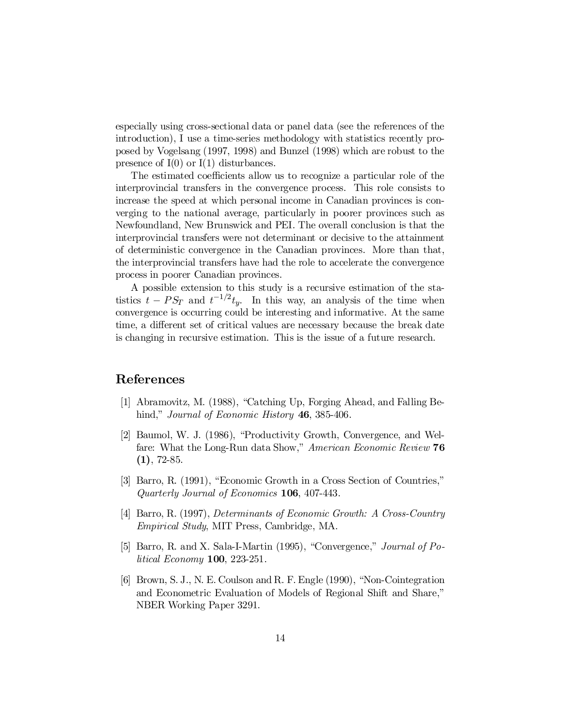especially using cross-sectional data or panel data (see the references of the introduction), I use a time-series methodology with statistics recently proposed by Vogelsang (1997, 1998) and Bunzel (1998) which are robust to the presence of  $I(0)$  or  $I(1)$  disturbances.

The estimated coefficients allow us to recognize a particular role of the interprovincial transfers in the convergence process. This role consists to increase the speed at which personal income in Canadian provinces is converging to the national average, particularly in poorer provinces such as Newfoundland, New Brunswick and PEI. The overall conclusion is that the interprovincial transfers were not determinant or decisive to the attainment of deterministic convergence in the Canadian provinces. More than that, the interprovincial transfers have had the role to accelerate the convergence process in poorer Canadian provinces.

A possible extension to this study is a recursive estimation of the statistics  $t - PS_T$  and  $t^{-1/2}t_y$ . In this way, an analysis of the time when convergence is occurring could be interesting and informative. At the same time, a different set of critical values are necessary because the break date is changing in recursive estimation. This is the issue of a future research.

## References

- [1] Abramovitz, M. (1988), "Catching Up, Forging Ahead, and Falling Behind," *Journal of Economic History* **46**, 385-406.
- [2] Baumol, W. J. (1986), "Productivity Growth, Convergence, and Welfare: What the Long-Run data Show," American Economic Review 76  $(1), 72-85.$
- [3] Barro, R. (1991), "Economic Growth in a Cross Section of Countries," Quarterly Journal of Economics 106, 407-443.
- [4] Barro, R. (1997), Determinants of Economic Growth: A Cross-Country Empirical Study, MIT Press, Cambridge, MA.
- [5] Barro, R. and X. Sala-I-Martin (1995), "Convergence," Journal of Political Economy 100, 223-251.
- [6] Brown, S. J., N. E. Coulson and R. F. Engle (1990), "Non-Cointegration and Econometric Evaluation of Models of Regional Shift and Share," NBER Working Paper 3291.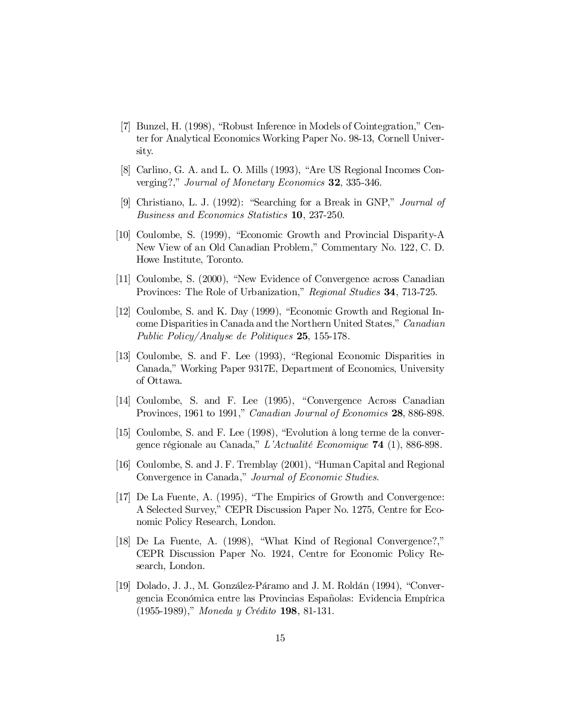- [7] Bunzel, H. (1998), "Robust Inference in Models of Cointegration," Center for Analytical Economics Working Paper No. 98-13, Cornell University.
- [8] Carlino, G. A. and L. O. Mills (1993), "Are US Regional Incomes Converging?," Journal of Monetary Economics 32, 335-346.
- [9] Christiano, L. J. (1992): "Searching for a Break in GNP," Journal of Business and Economics Statistics 10, 237-250.
- [10] Coulombe, S. (1999), "Economic Growth and Provincial Disparity-A New View of an Old Canadian Problem," Commentary No. 122, C. D. Howe Institute, Toronto.
- [11] Coulombe, S. (2000), "New Evidence of Convergence across Canadian Provinces: The Role of Urbanization," Regional Studies 34, 713-725.
- [12] Coulombe, S. and K. Day (1999), "Economic Growth and Regional Income Disparities in Canada and the Northern United States," Canadian Public Policy/Analyse de Politiques 25, 155-178.
- [13] Coulombe, S. and F. Lee (1993), "Regional Economic Disparities in Canada," Working Paper 9317E, Department of Economics, University of Ottawa.
- [14] Coulombe, S. and F. Lee (1995), "Convergence Across Canadian Provinces, 1961 to 1991," Canadian Journal of Economics 28, 886-898.
- [15] Coulombe, S. and F. Lee (1998), "Evolution à long terme de la convergence régionale au Canada," L'Actualité Economique 74 (1), 886-898.
- [16] Coulombe, S. and J. F. Tremblay (2001), "Human Capital and Regional Convergence in Canada," Journal of Economic Studies.
- [17] De La Fuente, A. (1995), "The Empirics of Growth and Convergence: A Selected Survey," CEPR Discussion Paper No. 1275, Centre for Economic Policy Research, London.
- [18] De La Fuente, A. (1998), "What Kind of Regional Convergence?," CEPR Discussion Paper No. 1924, Centre for Economic Policy Research, London.
- [19] Dolado, J. J., M. González-Páramo and J. M. Roldán (1994), "Convergencia Económica entre las Provincias Españolas: Evidencia Empírica (1955-1989)," Moneda y Crédito 198, 81-131.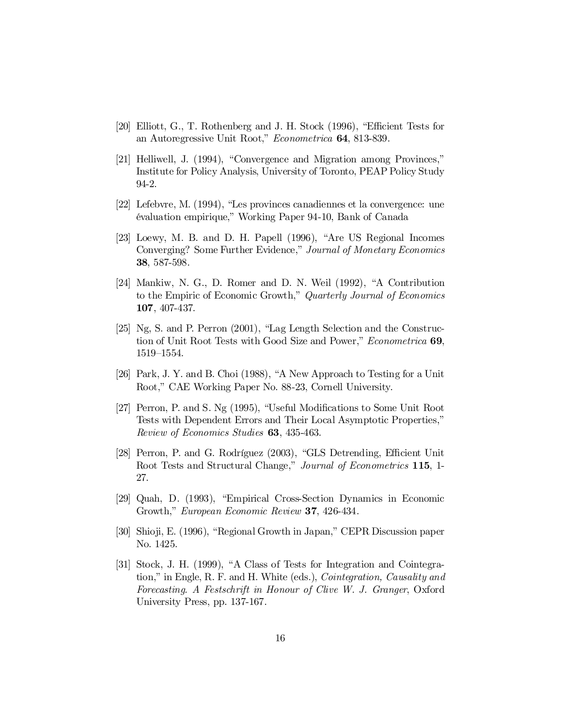- [20] Elliott, G., T. Rothenberg and J. H. Stock (1996), "Efficient Tests for an Autoregressive Unit Root," Econometrica 64, 813-839.
- [21] Helliwell, J. (1994), "Convergence and Migration among Provinces," Institute for Policy Analysis, University of Toronto, PEAP Policy Study 94-2.
- [22] Lefebvre, M. (1994), "Les provinces canadiennes et la convergence: une évaluation empirique," Working Paper 94-10, Bank of Canada
- [23] Loewy, M. B. and D. H. Papell (1996), "Are US Regional Incomes Converging? Some Further Evidence," Journal of Monetary Economics 38, 587-598.
- [24] Mankiw, N. G., D. Romer and D. N. Weil (1992), "A Contribution to the Empiric of Economic Growth," Quarterly Journal of Economics 107, 407-437.
- [25] Ng, S. and P. Perron (2001), "Lag Length Selection and the Construction of Unit Root Tests with Good Size and Power," *Econometrica* 69, 1519–1554.
- [26] Park, J. Y. and B. Choi (1988), "A New Approach to Testing for a Unit Root," CAE Working Paper No. 88-23, Cornell University.
- [27] Perron, P. and S. Ng (1995), "Useful Modifications to Some Unit Root Tests with Dependent Errors and Their Local Asymptotic Properties," Review of Economics Studies 63, 435-463.
- [28] Perron, P. and G. Rodríguez (2003), "GLS Detrending, Efficient Unit Root Tests and Structural Change," Journal of Econometrics 115, 1-27.
- [29] Quah, D. (1993), "Empirical Cross-Section Dynamics in Economic Growth," European Economic Review 37, 426-434.
- [30] Shioji, E. (1996), "Regional Growth in Japan," CEPR Discussion paper No. 1425.
- [31] Stock, J. H. (1999), "A Class of Tests for Integration and Cointegration," in Engle, R. F. and H. White (eds.), Cointegration, Causality and Forecasting. A Festschrift in Honour of Clive W. J. Granger, Oxford University Press, pp. 137-167.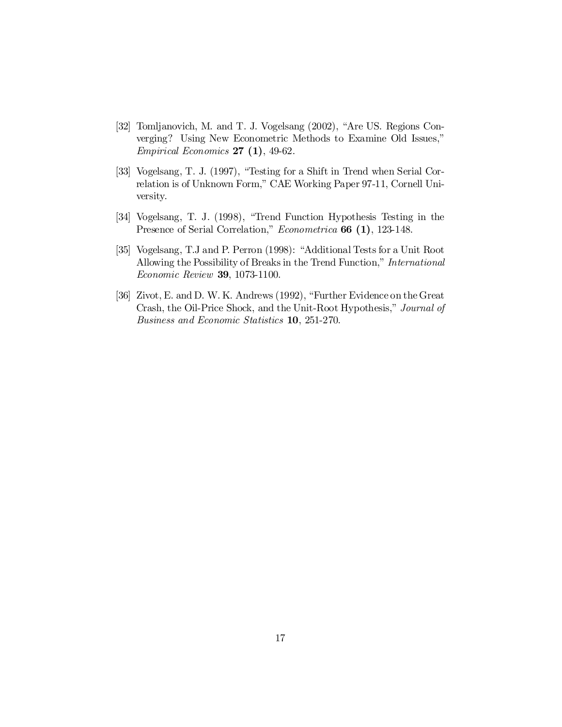- [32] Tomljanovich, M. and T. J. Vogelsang (2002), "Are US. Regions Converging? Using New Econometric Methods to Examine Old Issues," Empirical Economics  $27(1)$ , 49-62.
- [33] Vogelsang, T. J. (1997), "Testing for a Shift in Trend when Serial Correlation is of Unknown Form," CAE Working Paper 97-11, Cornell University.
- [34] Vogelsang, T. J. (1998), "Trend Function Hypothesis Testing in the Presence of Serial Correlation," *Econometrica* **66 (1)**, 123-148.
- [35] Vogelsang, T.J and P. Perron (1998): "Additional Tests for a Unit Root Allowing the Possibility of Breaks in the Trend Function," International Economic Review 39, 1073-1100.
- [36] Zivot, E. and D. W. K. Andrews (1992), "Further Evidence on theGreat Crash, the Oil-Price Shock, and the Unit-Root Hypothesis," Journal of Business and Economic Statistics 10, 251-270.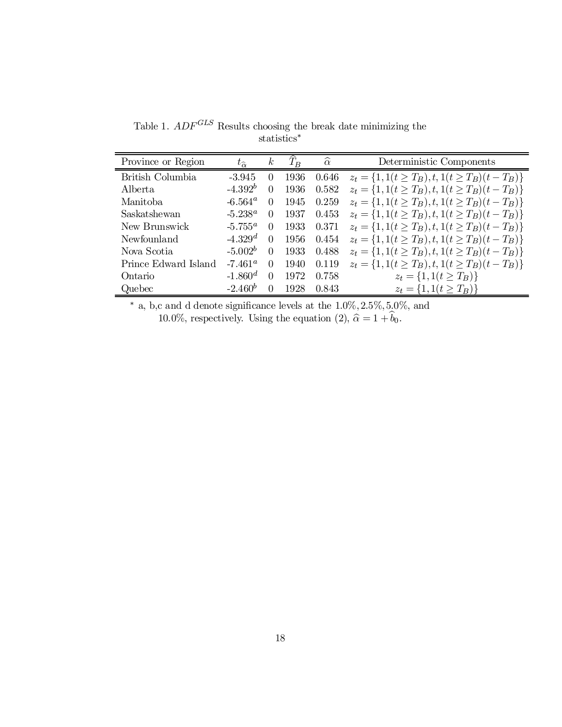| Province or Region   | $t_{\widehat{\alpha}}$ | $\kappa$ | $\widehat{\widetilde{T}_{B}}$ | $\alpha$ | Deterministic Components                               |
|----------------------|------------------------|----------|-------------------------------|----------|--------------------------------------------------------|
| British Columbia     | $-3.945$               | $\theta$ | 1936                          | 0.646    | $z_t = \{1, 1(t \ge T_B), t, 1(t \ge T_B)(t - T_B)\}\$ |
| Alberta              | $-4.392^{b}$           | 0        | 1936                          | 0.582    | $z_t = \{1, 1(t \ge T_B), t, 1(t \ge T_B)(t - T_B)\}\$ |
| Manitoba             | $-6.564^{\circ}$       | $\Omega$ | 1945                          | 0.259    | $z_t = \{1, 1(t \ge T_B), t, 1(t \ge T_B)(t - T_B)\}\$ |
| Saskatshewan         | $-5.238^a$             | 0        | 1937                          | 0.453    | $z_t = \{1, 1(t \ge T_B), t, 1(t \ge T_B)(t - T_B)\}\$ |
| New Brunswick        | $-5.755^{\alpha}$      | 0        | 1933                          | 0.371    | $z_t = \{1, 1(t \ge T_B), t, 1(t \ge T_B)(t - T_B)\}\$ |
| Newfounland          | $-4.329d$              | $\Omega$ | 1956                          | 0.454    | $z_t = \{1, 1(t \ge T_B), t, 1(t \ge T_B)(t - T_B)\}\$ |
| Nova Scotia          | $-5.002b$              | $\theta$ | 1933                          | 0.488    | $z_t = \{1, 1(t \ge T_B), t, 1(t \ge T_B)(t - T_B)\}\$ |
| Prince Edward Island | $-7.461^{\circ}$       | $\Omega$ | 1940                          | 0.119    | $z_t = \{1, 1(t \ge T_B), t, 1(t \ge T_B)(t - T_B)\}\$ |
| Ontario              | $-1.860d$              | $\Omega$ | 1972                          | 0.758    | $z_t = \{1, 1(t \ge T_B)\}\$                           |
| Quebec               | $-2.460^b$             | 0        | 1928                          | 0.843    | $z_t = \{1, 1(t \geq T_B)\}\$                          |

Table 1.  $ADF^{GLS}$  Results choosing the break date minimizing the statistics ¤

\* a, b,c and d denote significance levels at the  $1.0\%, 2.5\%, 5.0\%$ , and 10.0%, respectively. Using the equation (2),  $\hat{\alpha} = 1 + b_0$ .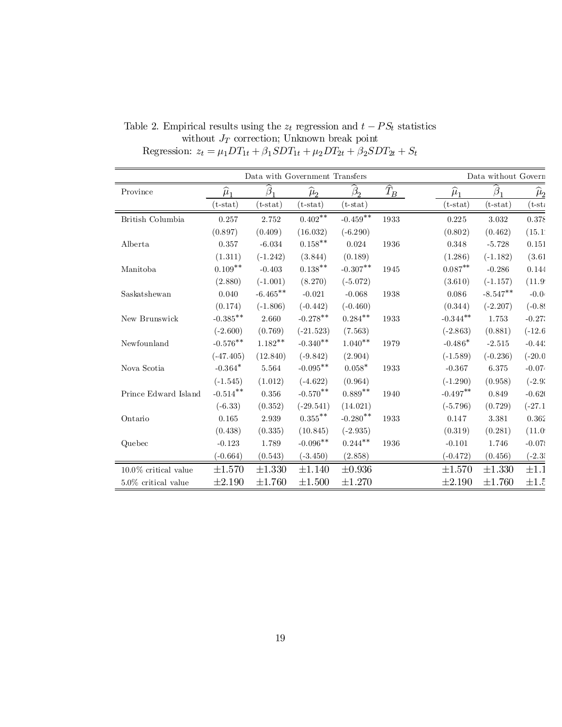|                         |                   |                     | Data with Government Transfers |                      |                   | Data without Govern |                                  |                   |  |
|-------------------------|-------------------|---------------------|--------------------------------|----------------------|-------------------|---------------------|----------------------------------|-------------------|--|
| Province                | $\widehat{\mu}_1$ | $\widehat{\beta}$ . | $\widehat{\mu}_{2}$            | $\beta$ <sub>2</sub> | $\widehat{T}_{B}$ | $\widehat{\mu}_1$   | $\widehat{\boldsymbol{\beta}}_1$ | $\widehat{\mu}_2$ |  |
|                         | $(t-stat)$        | ${\rm (t-stat)}$    | $(t-stat)$                     | $(t - stat)$         |                   | $(t-stat)$          | $(t-stat)$                       | (t-st:            |  |
| British Columbia        | 0.257             | 2.752               | $0.402^{**}$                   | $-0.459***$          | 1933              | 0.225               | 3.032                            | 0.378             |  |
|                         | (0.897)           | (0.409)             | (16.032)                       | $(-6.290)$           |                   | (0.802)             | (0.462)                          | (15.1)            |  |
| Alberta                 | 0.357             | $-6.034$            | $0.158^{\ast\ast}$             | 0.024                | 1936              | 0.348               | $-5.728$                         | 0.151             |  |
|                         | (1.311)           | $(-1.242)$          | (3.844)                        | (0.189)              |                   | (1.286)             | $(-1.182)$                       | (3.61)            |  |
| Manitoba                | $0.109**$         | $-0.403$            | $0.138^{\ast\ast}$             | $-0.307^{**}$        | 1945              | $0.087**$           | $-0.286$                         | 0.144             |  |
|                         | (2.880)           | $(-1.001)$          | (8.270)                        | $(-5.072)$           |                   | (3.610)             | $(-1.157)$                       | (11.9)            |  |
| Saskatshewan            | 0.040             | $-6.465***$         | $-0.021$                       | $-0.068$             | 1938              | 0.086               | $-8.547**$                       | $-0.04$           |  |
|                         | (0.174)           | $(-1.806)$          | $(-0.442)$                     | $(-0.460)$           |                   | (0.344)             | $(-2.207)$                       | $(-0.89)$         |  |
| New Brunswick           | $-0.385***$       | 2.660               | $-0.278**$                     | $0.284***$           | 1933              | $-0.344***$         | 1.753                            | $-0.27$           |  |
|                         | $(-2.600)$        | (0.769)             | $(-21.523)$                    | (7.563)              |                   | $(-2.863)$          | (0.881)                          | $(-12.6)$         |  |
| Newfounland             | $-0.576***$       | $1.182**$           | $-0.340**$                     | $1.040**$            | 1979              | $-0.486*$           | $-2.515$                         | $-0.44$           |  |
|                         | $(-47.405)$       | (12.840)            | $(-9.842)$                     | (2.904)              |                   | $(-1.589)$          | $(-0.236)$                       | $(-20.0)$         |  |
| Nova Scotia             | $-0.364*$         | 5.564               | $-0.095**$                     | $0.058*$             | 1933              | $-0.367$            | 6.375                            | $-0.074$          |  |
|                         | $(-1.545)$        | (1.012)             | $(-4.622)$                     | (0.964)              |                   | $(-1.290)$          | (0.958)                          | $(-2.9;$          |  |
| Prince Edward Island    | $-0.514***$       | 0.356               | $-0.570**$                     | $0.889**$            | 1940              | $-0.497***$         | 0.849                            | $-0.620$          |  |
|                         | $(-6.33)$         | (0.352)             | $(-29.541)$                    | (14.021)             |                   | $(-5.796)$          | (0.729)                          | $(-27.1)$         |  |
| Ontario                 | 0.165             | 2.939               | $0.355^{**}$                   | $-0.280$ **          | 1933              | 0.147               | 3.381                            | 0.362             |  |
|                         | (0.438)           | (0.335)             | (10.845)                       | $(-2.935)$           |                   | (0.319)             | (0.281)                          | (11.0)            |  |
| Quebec                  | $-0.123$          | 1.789               | $-0.096**$                     | $0.244^{**}$         | 1936              | $-0.101$            | 1.746                            | $-0.078$          |  |
|                         | $(-0.664)$        | (0.543)             | $(-3.450)$                     | (2.858)              |                   | $(-0.472)$          | (0.456)                          | $(-2.35)$         |  |
| $10.0\%$ critical value | $\pm 1.570$       | $\pm 1.330$         | ±1.140                         | $\pm 0.936$          |                   | ±1.570              | $\pm 1.330$                      | $\pm 1.1$         |  |
| $5.0\%$ critical value  | $\pm 2.190$       | ±1.760              | $\pm 1.500$                    | $\pm 1.270$          |                   | $\pm 2.190$         | ±1.760                           | $\pm 1.5$         |  |

Table 2. Empirical results using the  $z_t$  regression and  $t - PS_t$  statistics without  $J_T$  correction; Unknown break point Regression:  $z_t = \mu_1 DT_{1t} + \beta_1 SDT_{1t} + \mu_2 DT_{2t} + \beta_2 SDT_{2t} + S_t$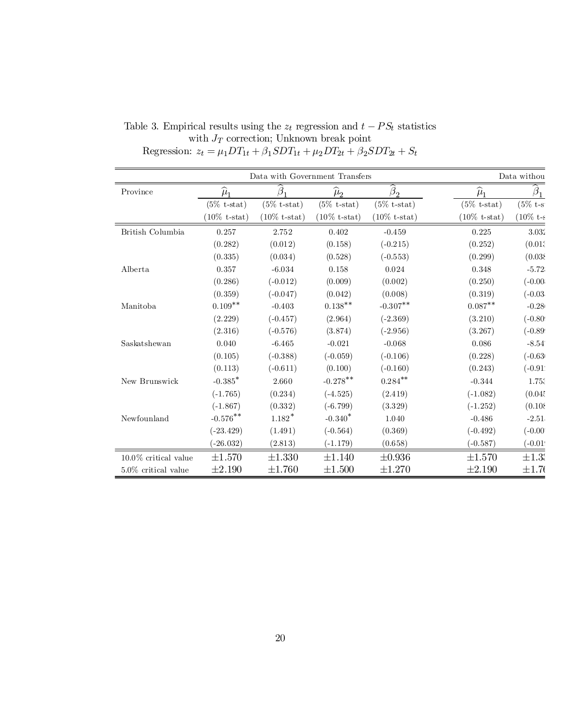|                         | Data with Government Transfers |                         | Data withou         |                         |                         |             |
|-------------------------|--------------------------------|-------------------------|---------------------|-------------------------|-------------------------|-------------|
| Province                | $\widehat{\mu}_1$              | $\overline{\beta}$      | $\widehat{\mu}_{2}$ | $\beta_2$               | $\widehat{\mu}_1$       | $\beta_1$   |
|                         | $(5\% \text{ t-stat})$         | $(5\% \text{ t-stat})$  | $(5\%$ t-stat)      | $(5\% \text{ t-stat})$  | $(5\% \text{ t-stat})$  | $(5\% t-s)$ |
|                         | $(10\%$ t-stat)                | $(10\% \text{ t-stat})$ | $(10\%$ t-stat)     | $(10\% \text{ t-stat})$ | $(10\% \text{ t-stat})$ | $(10\% t-s$ |
| British Columbia        | 0.257                          | 2.752                   | 0.402               | $-0.459$                | 0.225                   | 3.032       |
|                         | (0.282)                        | (0.012)                 | (0.158)             | $(-0.215)$              | (0.252)                 | (0.01)      |
|                         | (0.335)                        | (0.034)                 | (0.528)             | $(-0.553)$              | (0.299)                 | (0.038)     |
| Alberta                 | 0.357                          | $-6.034$                | 0.158               | 0.024                   | 0.348                   | $-5.72$     |
|                         | (0.286)                        | $(-0.012)$              | (0.009)             | (0.002)                 | (0.250)                 | $(-0.00)$   |
|                         | (0.359)                        | $(-0.047)$              | (0.042)             | (0.008)                 | (0.319)                 | $(-0.03)$   |
| Manitoba                | $0.109**$                      | $-0.403$                | $0.138***$          | $-0.307**$              | $0.087**$               | $-0.28$     |
|                         | (2.229)                        | $(-0.457)$              | (2.964)             | $(-2.369)$              | (3.210)                 | $(-0.80)$   |
|                         | (2.316)                        | $(-0.576)$              | (3.874)             | $(-2.956)$              | (3.267)                 | $(-0.89)$   |
| Saskatshewan            | 0.040                          | $-6.465$                | $-0.021$            | $-0.068$                | 0.086                   | $-8.54$     |
|                         | (0.105)                        | $(-0.388)$              | $(-0.059)$          | $(-0.106)$              | (0.228)                 | $(-0.63)$   |
|                         | (0.113)                        | $(-0.611)$              | (0.100)             | $(-0.160)$              | (0.243)                 | $(-0.91)$   |
| New Brunswick           | $-0.385$ <sup>*</sup>          | 2.660                   | $-0.278***$         | $0.284***$              | $-0.344$                | 1.75.       |
|                         | $(-1.765)$                     | (0.234)                 | $(-4.525)$          | (2.419)                 | $(-1.082)$              | (0.045)     |
|                         | $(-1.867)$                     | (0.332)                 | $(-6.799)$          | (3.329)                 | $(-1.252)$              | (0.108)     |
| Newfounland             | $-0.576***$                    | $1.182*$                | $-0.340*$           | 1.040                   | $-0.486$                | $-2.51$     |
|                         | $(-23.429)$                    | (1.491)                 | $(-0.564)$          | (0.369)                 | $(-0.492)$              | $(-0.00)$   |
|                         | $(-26.032)$                    | (2.813)                 | $(-1.179)$          | (0.658)                 | $(-0.587)$              | $(-0.01)$   |
| $10.0\%$ critical value | $\pm 1.570$                    | $\pm 1.330$             | $\pm 1.140$         | $\pm 0.936$             | $\pm 1.570$             | $\pm 1.33$  |
| $5.0\%$ critical value  | $\pm 2.190$                    | $\pm 1.760$             | $\pm 1.500$         | $\pm 1.270$             | $\pm 2.190$             | $\pm 1.76$  |

Table 3. Empirical results using the  $z_t$  regression and  $t - PS_t$  statistics with  $J_T$  correction; Unknown break point Regression:  $z_t = \mu_1 DT_{1t} + \beta_1 SDT_{1t} + \mu_2 DT_{2t} + \beta_2 SDT_{2t} + S_t$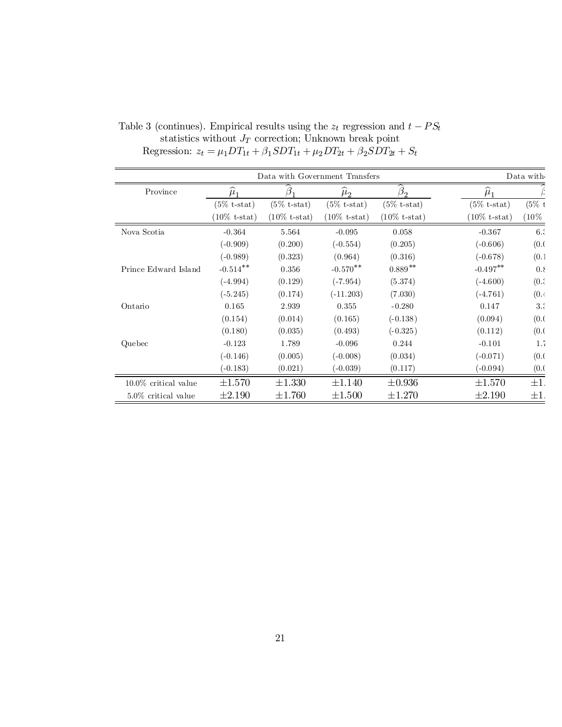|                         |                 |                         | Data with Government Transfers |                         |                         | Data with |
|-------------------------|-----------------|-------------------------|--------------------------------|-------------------------|-------------------------|-----------|
| Province                | $\mu_1$         |                         | $\mu_{2}$                      | $\beta_{2}$             | $\mu_1$                 |           |
|                         | $(5\%$ t-stat)  | $(5\% \text{ t-stat})$  | $(5\% \text{ t-stat})$         | $(5\% \text{ t-stat})$  | $(5\% \text{ t-stat})$  | $(5\% t$  |
|                         | $(10\%$ t-stat) | $(10\% \text{ t-stat})$ | $(10\% \text{ t-stat})$        | $(10\% \text{ t-stat})$ | $(10\% \text{ t-stat})$ | $(10\%$   |
| Nova Scotia             | $-0.364$        | 5.564                   | $-0.095$                       | 0.058                   | $-0.367$                | 6.3       |
|                         | $(-0.909)$      | (0.200)                 | $(-0.554)$                     | (0.205)                 | $(-0.606)$              | (0.0)     |
|                         | $(-0.989)$      | (0.323)                 | (0.964)                        | (0.316)                 | $(-0.678)$              | (0.1)     |
| Prince Edward Island    | $-0.514**$      | 0.356                   | $-0.570**$                     | $0.889**$               | $-0.497**$              | $0.\xi$   |
|                         | $(-4.994)$      | (0.129)                 | $(-7.954)$                     | (5.374)                 | $(-4.600)$              | (0.5)     |
|                         | $(-5.245)$      | (0.174)                 | $(-11.203)$                    | (7.030)                 | $(-4.761)$              | (0.4)     |
| Ontario                 | 0.165           | 2.939                   | 0.355                          | $-0.280$                | 0.147                   | 3.3       |
|                         | (0.154)         | (0.014)                 | (0.165)                        | $(-0.138)$              | (0.094)                 | (0.0)     |
|                         | (0.180)         | (0.035)                 | (0.493)                        | $(-0.325)$              | (0.112)                 | (0.0)     |
| Quebec                  | $-0.123$        | 1.789                   | $-0.096$                       | 0.244                   | $-0.101$                | 1.7       |
|                         | $(-0.146)$      | (0.005)                 | $(-0.008)$                     | (0.034)                 | $(-0.071)$              | (0.0)     |
|                         | $(-0.183)$      | (0.021)                 | $(-0.039)$                     | (0.117)                 | $(-0.094)$              | (0.0)     |
| $10.0\%$ critical value | $\pm 1.570$     | $\pm 1.330$             | $\pm 1.140$                    | $\pm 0.936$             | $\pm 1.570$             | $\pm 1$ . |
| $5.0\%$ critical value  | $\pm 2.190$     | $\pm 1.760$             | $\pm 1.500$                    | $\pm 1.270$             | $\pm 2.190$             | $\pm 1.$  |

Table 3 (continues). Empirical results using the  $z_t$  regression and  $t - PS_t$ statistics without  $J_T$  correction; Unknown break point Regression:  $z_t = \mu_1 DT_{1t} + \beta_1 SDT_{1t} + \mu_2 DT_{2t} + \beta_2 SDT_{2t} + S_t$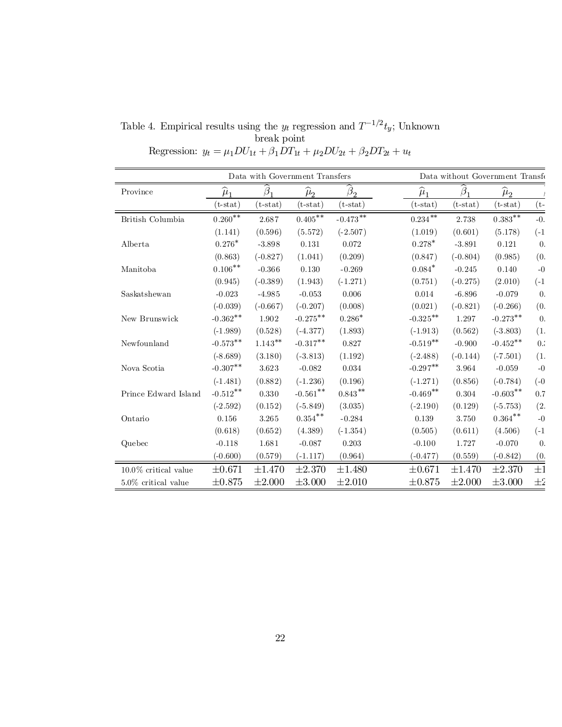| Table 4. Empirical results using the $y_t$ regression and $T^{-1/2}t_y$ ; Unknown |             |  |  |
|-----------------------------------------------------------------------------------|-------------|--|--|
|                                                                                   | break point |  |  |

Regression:  $y_t = \mu_1 D U_{1t} + \beta_1 D T_{1t} + \mu_2 D U_{2t} + \beta_2 D T_{2t} + u_t$ 

|                         |                   | Data with Government Transfers |                      |                                     |                      |             | Data without Government Transfe |                  |
|-------------------------|-------------------|--------------------------------|----------------------|-------------------------------------|----------------------|-------------|---------------------------------|------------------|
| Province                | $\widehat{\mu}_1$ | B.                             | $\widehat{\mu}_{2}$  | $\beta_2$                           | $\widehat{\mu}_1$    | $\beta_1$   | $\widehat{\mu}_2$               |                  |
|                         | $(t - stat)$      | $(t-stat)$                     | $(t-stat)$           | $(\mathrm{t}\text{-}\mathrm{stat})$ | $(t-stat)$           | $(t-stat)$  | $(t - stat)$                    | $(t-$            |
| British Columbia        | $0.260^{**}$      | 2.687                          | $0.405^{**}$         | $\text{-}0.473$ $\text{**}$         | $0.234\,^{\ast\ast}$ | 2.738       | $0.383***$                      | $-0$ .           |
|                         | (1.141)           | (0.596)                        | (5.572)              | $(-2.507)$                          | (1.019)              | (0.601)     | (5.178)                         | $(-1)$           |
| Alberta                 | $0.276*$          | $-3.898$                       | 0.131                | 0.072                               | $0.278*$             | $-3.891$    | 0.121                           | $\overline{0}$ . |
|                         | (0.863)           | $(-0.827)$                     | (1.041)              | (0.209)                             | (0.847)              | $(-0.804)$  | (0.985)                         | (0.              |
| Manitoba                | $0.106***$        | $-0.366$                       | 0.130                | $-0.269$                            | $0.084*$             | $-0.245$    | 0.140                           | $-0$             |
|                         | (0.945)           | $(-0.389)$                     | (1.943)              | $(-1.271)$                          | (0.751)              | $(-0.275)$  | (2.010)                         | $(-1)$           |
| Saskatshewan            | $-0.023$          | $-4.985$                       | $-0.053$             | 0.006                               | 0.014                | $-6.896$    | $-0.079$                        | $\theta$ .       |
|                         | $(-0.039)$        | $(-0.667)$                     | $(-0.207)$           | (0.008)                             | (0.021)              | $(-0.821)$  | $(-0.266)$                      | (0.              |
| New Brunswick           | $-0.362**$        | 1.902                          | $-0.275***$          | $0.286*$                            | $-0.325***$          | 1.297       | $-0.273**$                      | $\overline{0}$ . |
|                         | $(-1.989)$        | (0.528)                        | $(-4.377)$           | (1.893)                             | $(-1.913)$           | (0.562)     | $(-3.803)$                      | (1.              |
| Newfounland             | $-0.573**$        | $1.143***$                     | $-0.317**$           | 0.827                               | $-0.519**$           | $-0.900$    | $-0.452**$                      | 0.3              |
|                         | $(-8.689)$        | (3.180)                        | $(-3.813)$           | (1.192)                             | $(-2.488)$           | $(-0.144)$  | $(-7.501)$                      | (1.              |
| Nova Scotia             | $-0.307**$        | 3.623                          | $-0.082$             | 0.034                               | $-0.297**$           | 3.964       | $-0.059$                        | $-0$             |
|                         | $(-1.481)$        | (0.882)                        | $(-1.236)$           | (0.196)                             | $(-1.271)$           | (0.856)     | $(-0.784)$                      | $(-0)$           |
| Prince Edward Island    | $-0.512***$       | 0.330                          | $\text{-}0.561^{**}$ | $0.843***$                          | $-0.469**$           | 0.304       | $-0.603$ **                     | 0.7              |
|                         | $(-2.592)$        | (0.152)                        | $(-5.849)$           | (3.035)                             | $(-2.190)$           | (0.129)     | $(-5.753)$                      | (2.              |
| Ontario                 | 0.156             | 3.265                          | $0.354***$           | $-0.284$                            | 0.139                | 3.750       | $0.364***$                      | $-0$             |
|                         | (0.618)           | (0.652)                        | (4.389)              | $(-1.354)$                          | (0.505)              | (0.611)     | (4.506)                         | $(-1)$           |
| Quebec                  | $-0.118$          | 1.681                          | $-0.087$             | 0.203                               | $-0.100$             | 1.727       | $-0.070$                        | $\theta$ .       |
|                         | $(-0.600)$        | (0.579)                        | $(-1.117)$           | (0.964)                             | $(-0.477)$           | (0.559)     | $(-0.842)$                      | (0.              |
| $10.0\%$ critical value | $\pm 0.671$       | ±1.470                         | $\pm 2.370$          | ±1.480                              | ±0.671               | ±1.470      | $\pm 2.370$                     | $\pm 1$          |
| $5.0\%$ critical value  | $\pm 0.875$       | $\pm 2.000$                    | $\pm 3.000$          | $\pm 2.010$                         | $\pm 0.875$          | $\pm 2.000$ | $\pm 3.000$                     | $\pm 2$          |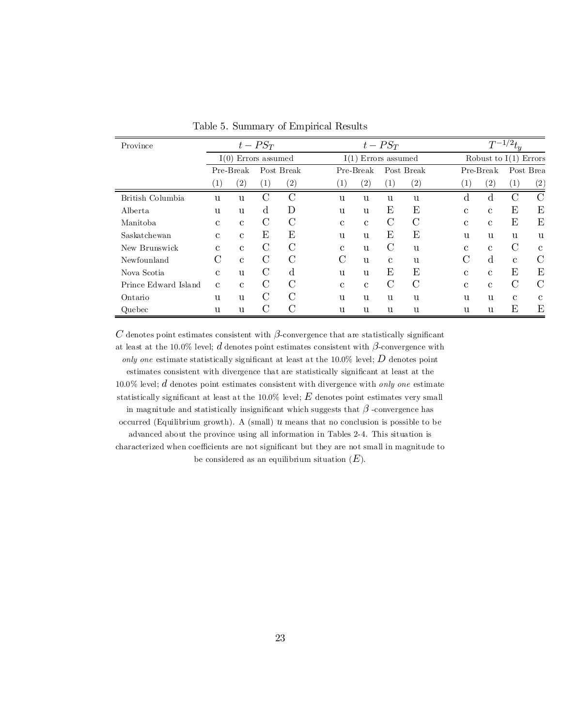| Province             |                   | $t - PST$             |                   |                   |  |                        |              | $t - PST$         |                   |  | $T^{-1/2}t_{y}$         |                   |                   |               |
|----------------------|-------------------|-----------------------|-------------------|-------------------|--|------------------------|--------------|-------------------|-------------------|--|-------------------------|-------------------|-------------------|---------------|
|                      |                   | $I(0)$ Errors assumed |                   |                   |  | Errors assumed<br>I(1) |              |                   |                   |  | Robust to $I(1)$ Errors |                   |                   |               |
|                      |                   | Pre-Break             |                   | Post Break        |  | Pre-Break              |              | Post Break        |                   |  |                         | Pre-Break         |                   | Post Brea     |
|                      | $\left( 1\right)$ | $\left( 2\right)$     | $\left( 1\right)$ | $\left( 2\right)$ |  | (1)                    | (2)          | $\left( 1\right)$ | $\left( 2\right)$ |  | (1)                     | $\left( 2\right)$ | $\left( 1\right)$ | (2)           |
| British Columbia     | u                 | <b>u</b>              | $\mathcal{C}$     | $\rm C$           |  | u                      | u            | u                 | u                 |  | d                       | $\mathbf d$       | $\mathcal{C}$     | $\mathcal{C}$ |
| Alberta              | u                 | u                     | $\mathbf d$       | D                 |  | u                      | u            | E                 | E                 |  | $\mathbf{c}$            | $\mathbf{c}$      | E                 | Ε             |
| Manitoba             | C                 | $\mathbf{c}$          | C                 | C                 |  | $\mathbf{c}$           | $\mathbf{c}$ | $\mathcal{C}$     | $\rm C$           |  | $\mathcal{C}$           | $\mathbf{c}$      | Ε                 | Ε             |
| Saskatchewan         | $\mathbf{c}$      | $\mathbf{c}$          | E                 | Ε                 |  | u                      | u            | E                 | E                 |  | u                       | u                 | u                 | u             |
| New Brunswick        | $\mathbf{c}$      | $\mathbf{c}$          | C                 | C                 |  | $\mathbf{c}$           | u            | $\mathcal{C}$     | u                 |  | C.                      | $\mathbf{c}$      | C                 | $\mathbf c$   |
| Newfounland          | С                 | $\mathbf{c}$          | C                 | $\mathcal{C}$     |  | $\mathcal{C}$          | u            | $\mathbf{c}$      | u                 |  | C                       | d                 | $\mathbf{c}$      | C             |
| Nova Scotia          | $\mathbf{c}$      | u                     | C                 | d                 |  | $\mathbf{u}$           | u            | E                 | E                 |  | C.                      | $\mathbf{c}$      | Ε                 | E             |
| Prince Edward Island | $\mathbf{c}$      | $\mathbf{c}$          | C                 | C                 |  | $\mathbf{c}$           | $\mathbf{c}$ | $\mathcal{C}$     | $\mathcal{C}$     |  | $\mathbf{c}$            | $\mathbf{c}$      | $\mathcal{C}$     | C             |
| Ontario              | u                 | u                     | $\rm C$           | $\mathcal{C}$     |  | u                      | u            | u                 | u                 |  | $\mathbf{u}$            | u                 | $\mathbf c$       | $\mathbf c$   |
| Quebec               | $\mathbf{u}$      | u                     | C                 | C                 |  | u                      | u            | u                 | u                 |  | $\mathbf{u}$            | $\mathbf{u}$      | Ε                 | Ε             |

Table 5. Summary of Empirical Results

C denotes point estimates consistent with  $\beta$ -convergence that are statistically significant at least at the 10.0% level; d denotes point estimates consistent with  $\beta$ -convergence with only one estimate statistically significant at least at the 10.0% level;  $D$  denotes point estimates consistent with divergence that are statistically significant at least at the  $10.0\%$  level; d denotes point estimates consistent with divergence with only one estimate statistically significant at least at the  $10.0\%$  level;  $E$  denotes point estimates very small in magnitude and statistically insignificant which suggests that  $\beta$  -convergence has occurred (Equilibrium growth). A (small)  $u$  means that no conclusion is possible to be advanced about the province using all information in Tables 2-4. This situation is characterized when coefficients are not significant but they are not small in magnitude to be considered as an equilibrium situation  $(E)$ .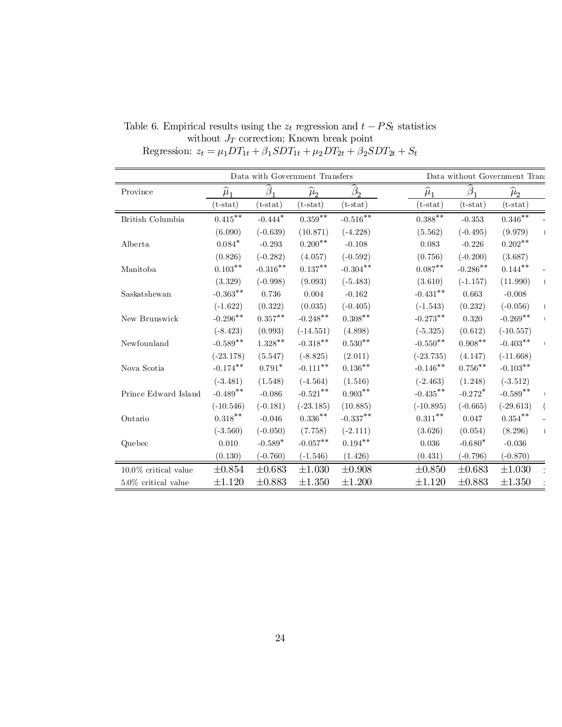|                         |                   |                                   | Data with Government Transfers |                        |                   |                       | Data without Government Trans |  |
|-------------------------|-------------------|-----------------------------------|--------------------------------|------------------------|-------------------|-----------------------|-------------------------------|--|
| Province                | $\widehat{\mu}_1$ | $\beta$                           | $\widehat{\mu}_{2}$            | $\beta$                | $\widehat{\mu}_1$ | $\beta_1$             | $\widehat{\mu}_2$             |  |
|                         | $(t - stat)$      | $(t-stat)$                        | $(t-stat)$                     | $(t - stat)$           | $(t-stat)$        | $(t-stat)$            | $(t-stat)$                    |  |
| British Columbia        | $0.415***$        | $\textbf{-0.444}^{\textstyle{*}}$ | $0.359***$                     | $\textbf{-0.516}^{**}$ | $0.388^{**}$      | $-0.353$              | $0.346***$                    |  |
|                         | (6.090)           | $(-0.639)$                        | (10.871)                       | $(-4.228)$             | (5.562)           | $(-0.495)$            | (9.979)                       |  |
| Alberta                 | $0.084*$          | $-0.293$                          | $0.200**$                      | $-0.108$               | 0.083             | $-0.226$              | $0.202**$                     |  |
|                         | (0.826)           | $(-0.282)$                        | (4.057)                        | $(-0.592)$             | (0.756)           | $(-0.200)$            | (3.687)                       |  |
| Manitoba                | $0.103***$        | $-0.316***$                       | $0.137***$                     | $-0.304**$             | $0.087***$        | $-0.286**$            | $0.144***$                    |  |
|                         | (3.329)           | $(-0.998)$                        | (9.093)                        | $(-5.483)$             | (3.610)           | $(-1.157)$            | (11.990)                      |  |
| Saskatshewan            | $-0.363**$        | 0.736                             | 0.004                          | $-0.162$               | $-0.431**$        | 0.663                 | $-0.008$                      |  |
|                         | $(-1.622)$        | (0.322)                           | (0.035)                        | $(-0.405)$             | $(-1.543)$        | (0.232)               | $(-0.056)$                    |  |
| New Brunswick           | $-0.296**$        | $0.357***$                        | $-0.248**$                     | $0.308^{**}$           | $-0.273**$        | 0.320                 | $-0.269**$                    |  |
|                         | $(-8.423)$        | (0.993)                           | $(-14.551)$                    | (4.898)                | $(-5.325)$        | (0.612)               | $(-10.557)$                   |  |
| Newfounland             | $-0.589**$        | $1.328***$                        | $-0.318***$                    | $0.530**$              | $-0.550**$        | $0.908**$             | $-0.403**$                    |  |
|                         | $(-23.178)$       | (5.547)                           | $(-8.825)$                     | (2.011)                | $(-23.735)$       | (4.147)               | $(-11.668)$                   |  |
| Nova Scotia             | $-0.174***$       | $0.791*$                          | $-0.111***$                    | $0.136***$             | $-0.146**$        | $0.756***$            | $-0.103**$                    |  |
|                         | $(-3.481)$        | (1.548)                           | $(-4.564)$                     | (1.516)                | $(-2.463)$        | (1.248)               | $(-3.512)$                    |  |
| Prince Edward Island    | $-0.489**$        | $-0.086$                          | $-0.521$ **                    | $0.903***$             | $-0.435***$       | $-0.272$ <sup>*</sup> | $-0.589$ **                   |  |
|                         | $(-10.546)$       | $(-0.181)$                        | $(-23.185)$                    | (10.885)               | $(-10.895)$       | $(-0.665)$            | $(-29.613)$                   |  |
| Ontario                 | $0.318***$        | $-0.046$                          | $0.336***$                     | $-0.337**$             | $0.311***$        | 0.047                 | $0.354^{**}$                  |  |
|                         | $(-3.560)$        | $(-0.050)$                        | (7.758)                        | $(-2.111)$             | (3.626)           | (0.054)               | (8.296)                       |  |
| Quebec                  | $0.010\,$         | $-0.589*$                         | $-0.057***$                    | $0.194^{**}$           | $0.036\,$         | $-0.680*$             | $-0.036$                      |  |
|                         | (0.130)           | $(-0.760)$                        | $(-1.546)$                     | (1.426)                | (0.431)           | $(-0.796)$            | $(-0.870)$                    |  |
| $10.0\%$ critical value | $\pm 0.854$       | $\pm 0.683$                       | $\pm 1.030$                    | $\pm 0.908$            | $\pm 0.850$       | $\pm 0.683$           | $\pm 1.030$                   |  |
| $5.0\%$ critical value  | $\pm 1.120$       | $\pm 0.883$                       | $\pm 1.350$                    | $\pm 1.200$            | $\pm 1.120$       | $\pm 0.883$           | $\pm 1.350$                   |  |

Table 6. Empirical results using the  $z_t$  regression and  $t - PS_t$  statistics without  $J_T$  correction; Known break point Regression:  $z_t = \mu_1 DT_{1t} + \beta_1 SDT_{1t} + \mu_2 DT_{2t} + \beta_2 SDT_{2t} + S_t$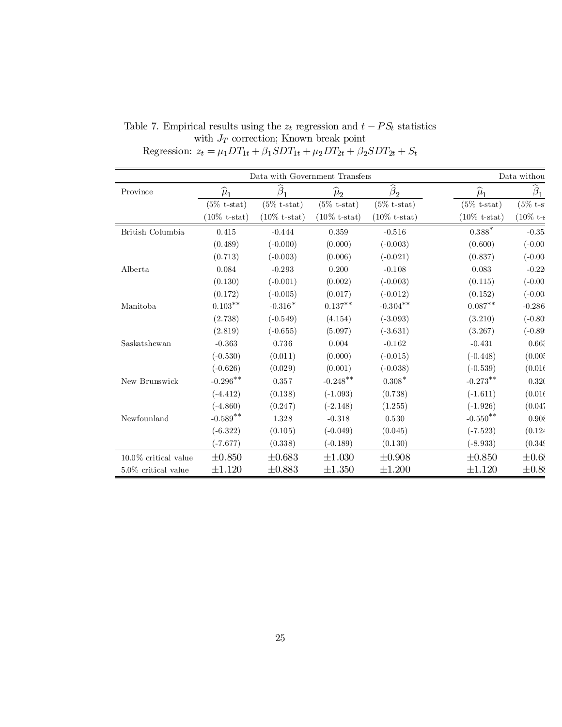|                         |                   |                         | Data with Government Transfers |                         |                         | Data withou    |
|-------------------------|-------------------|-------------------------|--------------------------------|-------------------------|-------------------------|----------------|
| Province                | $\widehat{\mu}_1$ | β                       | $\widehat{\mu}_2$              | $\beta_2$               | $\widehat{\mu}_1$       | $\beta_1$      |
|                         | $(5\%$ t-stat)    | $(5\% \text{ t-stat})$  | $(5\%$ t-stat)                 | $(5\%$ t-stat)          | $(5\% \text{ t-stat})$  | $(5\% t-s$     |
|                         | $(10\%$ t-stat)   | $(10\% \text{ t-stat})$ | $(10\% \text{ t-stat})$        | $(10\% \text{ t-stat})$ | $(10\% \text{ t-stat})$ | $(10\% t - s)$ |
| British Columbia        | 0.415             | $-0.444$                | 0.359                          | $-0.516$                | $0.388^\ast$            | $-0.35$        |
|                         | (0.489)           | $(-0.000)$              | (0.000)                        | $(-0.003)$              | (0.600)                 | $(-0.00)$      |
|                         | (0.713)           | $(-0.003)$              | (0.006)                        | $(-0.021)$              | (0.837)                 | $(-0.00)$      |
| Alberta                 | 0.084             | $-0.293$                | 0.200                          | $-0.108$                | 0.083                   | $-0.22$        |
|                         | (0.130)           | $(-0.001)$              | (0.002)                        | $(-0.003)$              | (0.115)                 | (0.00)         |
|                         | (0.172)           | $(-0.005)$              | (0.017)                        | $(-0.012)$              | (0.152)                 | $(-0.00)$      |
| Manitoba                | $0.103**$         | $-0.316*$               | $0.137***$                     | $-0.304**$              | $0.087**$               | $-0.286$       |
|                         | (2.738)           | $(-0.549)$              | (4.154)                        | $(-3.093)$              | (3.210)                 | $(-0.80)$      |
|                         | (2.819)           | $(-0.655)$              | (5.097)                        | $(-3.631)$              | (3.267)                 | $(-0.89)$      |
| Saskatshewan            | $-0.363$          | 0.736                   | 0.004                          | $-0.162$                | $-0.431$                | 0.663          |
|                         | $(-0.530)$        | (0.011)                 | (0.000)                        | $(-0.015)$              | $(-0.448)$              | (0.005)        |
|                         | $(-0.626)$        | (0.029)                 | (0.001)                        | $(-0.038)$              | $(-0.539)$              | (0.016)        |
| New Brunswick           | $-0.296***$       | 0.357                   | $-0.248$ **                    | $0.308*$                | $-0.273***$             | 0.32(          |
|                         | $(-4.412)$        | (0.138)                 | $(-1.093)$                     | (0.738)                 | $(-1.611)$              | (0.016)        |
|                         | $(-4.860)$        | (0.247)                 | $(-2.148)$                     | (1.255)                 | $(-1.926)$              | (0.047)        |
| Newfounland             | $-0.589**$        | 1.328                   | $-0.318$                       | 0.530                   | $-0.550$ **             | 0.908          |
|                         | $(-6.322)$        | (0.105)                 | $(-0.049)$                     | (0.045)                 | $(-7.523)$              | (0.124)        |
|                         | $(-7.677)$        | (0.338)                 | $(-0.189)$                     | (0.130)                 | $(-8.933)$              | (0.349)        |
| $10.0\%$ critical value | $\pm 0.850$       | $\pm 0.683$             | $\pm 1.030$                    | $\pm 0.908$             | $\pm 0.850$             | $\pm 0.68$     |
| $5.0\%$ critical value  | $\pm 1.120$       | $\pm 0.883$             | $\pm 1.350$                    | $\pm 1.200$             | $\pm 1.120$             | $\pm 0.88$     |

Table 7. Empirical results using the  $z_t$  regression and  $t - PS_t$  statistics with  $J_T$  correction; Known break point Regression:  $z_t = \mu_1 DT_{1t} + \beta_1 SDT_{1t} + \mu_2 DT_{2t} + \beta_2 SDT_{2t} + S_t$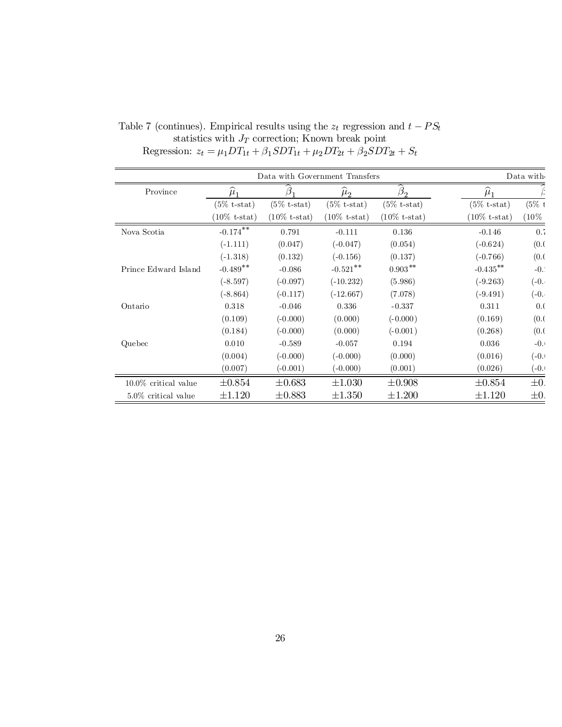|                         |                         |                         | Data with Government Transfers |                         |                         | Data with     |
|-------------------------|-------------------------|-------------------------|--------------------------------|-------------------------|-------------------------|---------------|
| Province                | $\mu_1$                 | (3                      | $\mu_2$                        | $\beta$                 | $\mu_1$                 |               |
|                         | $(5\% \text{ t-stat})$  | $(5\%$ t-stat)          | $(5\% \text{ t-stat})$         | $(5\%$ t-stat)          | $(5\% \text{ t-stat})$  | $(5\% t$      |
|                         | $(10\% \text{ t-stat})$ | $(10\% \text{ t-stat})$ | $(10\%$ t-stat)                | $(10\% \text{ t-stat})$ | $(10\% \text{ t-stat})$ | $(10\%$       |
| Nova Scotia             | $-0.174***$             | 0.791                   | $-0.111$                       | 0.136                   | $-0.146$                | 0.7           |
|                         | $(-1.111)$              | (0.047)                 | $(-0.047)$                     | (0.054)                 | $(-0.624)$              | (0.0)         |
|                         | $(-1.318)$              | (0.132)                 | $(-0.156)$                     | (0.137)                 | $(-0.766)$              | (0.0)         |
| Prince Edward Island    | $-0.489**$              | $-0.086$                | $-0.521$ **                    | $0.903***$              | $-0.435***$             | $-0$ .        |
|                         | $(-8.597)$              | $(-0.097)$              | $(-10.232)$                    | (5.986)                 | $(-9.263)$              | $(-0, \cdot)$ |
|                         | $(-8.864)$              | $(-0.117)$              | $(-12.667)$                    | (7.078)                 | $(-9.491)$              | $(-0, \cdot)$ |
| Ontario                 | 0.318                   | $-0.046$                | 0.336                          | $-0.337$                | 0.311                   | 0.(           |
|                         | (0.109)                 | $(-0.000)$              | (0.000)                        | $(-0.000)$              | (0.169)                 | (0.0)         |
|                         | (0.184)                 | $(-0.000)$              | (0.000)                        | $(-0.001)$              | (0.268)                 | (0.0)         |
| Quebec                  | 0.010                   | $-0.589$                | $-0.057$                       | 0.194                   | 0.036                   | $-0.1$        |
|                         | (0.004)                 | $(-0.000)$              | $(-0.000)$                     | (0.000)                 | (0.016)                 | $(-0.1)$      |
|                         | (0.007)                 | $(-0.001)$              | $(-0.000)$                     | (0.001)                 | (0.026)                 | $(-0.1)$      |
| $10.0\%$ critical value | $\pm 0.854$             | $\pm 0.683$             | $\pm 1.030$                    | $\pm 0.908$             | $\pm 0.854$             | $\pm 0.$      |
| $5.0\%$ critical value  | $\pm 1.120$             | $\pm 0.883$             | $\pm 1.350$                    | $\pm 1.200$             | $\pm 1.120$             | $\pm 0$ .     |

Table 7 (continues). Empirical results using the  $z_t$  regression and  $t - PS_t$ statistics with  $J_T$  correction; Known break point Regression:  $z_t = \mu_1 DT_{1t} + \beta_1 SDT_{1t} + \mu_2 DT_{2t} + \beta_2 SDT_{2t} + S_t$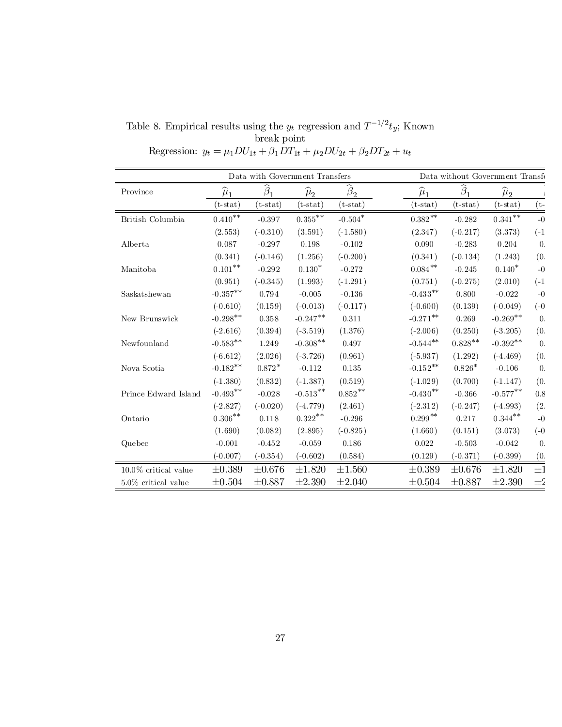| Table 8. Empirical results using the $y_t$ regression and $T^{-1/2}t_y$ ; Known |             |  |  |
|---------------------------------------------------------------------------------|-------------|--|--|
|                                                                                 | break point |  |  |

Regression:  $y_t = \mu_1 D U_{1t} + \beta_1 D T_{1t} + \mu_2 D U_{2t} + \beta_2 D T_{2t} + u_t$ 

|                         |                      |                     | Data with Government Transfers |                           |                   |                     | Data without Government Transfe |                  |
|-------------------------|----------------------|---------------------|--------------------------------|---------------------------|-------------------|---------------------|---------------------------------|------------------|
| Province                | $\widehat{\mu}_1$    | $\widehat{\beta}_1$ | $\widehat{\mu}_{2}$            | $\beta_2$                 | $\widehat{\mu}_1$ | $\widehat{\beta}_1$ | $\widehat{\mu}_2$               |                  |
|                         | $(t - stat)$         | $(t-stat)$          | $(t-stat)$                     | $(t-stat)$                | $(t-stat)$        | $(t-stat)$          | $(t-stat)$                      | $(t-$            |
| British Columbia        | ${0.410}^{\ast\ast}$ | $-0.397$            | $0.355***$                     | $\textnormal{-}0.504^{*}$ | $0.382***$        | $-0.282$            | $0.341^{\ast\ast}$              | $-0$             |
|                         | (2.553)              | $(-0.310)$          | (3.591)                        | $(-1.580)$                | (2.347)           | $(-0.217)$          | (3.373)                         | $(-1)$           |
| Alberta                 | 0.087                | $-0.297$            | 0.198                          | $-0.102$                  | 0.090             | $-0.283$            | 0.204                           | $\overline{0}$ . |
|                         | (0.341)              | $(-0.146)$          | (1.256)                        | $(-0.200)$                | (0.341)           | $(-0.134)$          | (1.243)                         | (0.              |
| Manitoba                | $0.101^{\ast\ast}$   | $-0.292$            | $0.130*$                       | $-0.272$                  | $0.084***$        | $-0.245$            | $0.140*$                        | $-0$             |
|                         | (0.951)              | $(-0.345)$          | (1.993)                        | $(-1.291)$                | (0.751)           | $(-0.275)$          | (2.010)                         | $(-1)$           |
| Saskatshewan            | $-0.357**$           | 0.794               | $-0.005$                       | $-0.136$                  | $-0.433**$        | 0.800               | $-0.022$                        | $-0$             |
|                         | $(-0.610)$           | (0.159)             | $(-0.013)$                     | $(-0.117)$                | $(-0.600)$        | (0.139)             | $(-0.049)$                      | $(-0)$           |
| New Brunswick           | $-0.298**$           | 0.358               | $-0.247**$                     | 0.311                     | $-0.271***$       | 0.269               | $-0.269**$                      | $\overline{0}$ . |
|                         | $(-2.616)$           | (0.394)             | $(-3.519)$                     | (1.376)                   | $(-2.006)$        | (0.250)             | $(-3.205)$                      | (0.              |
| Newfounland             | $-0.583**$           | 1.249               | $-0.308**$                     | 0.497                     | $-0.544***$       | $0.828**$           | $-0.392**$                      | $\theta$ .       |
|                         | $(-6.612)$           | (2.026)             | $(-3.726)$                     | (0.961)                   | $(-5.937)$        | (1.292)             | $(-4.469)$                      | (0.              |
| Nova Scotia             | $-0.182**$           | $0.872*$            | $-0.112$                       | 0.135                     | $-0.152**$        | $0.826*$            | $-0.106$                        | $\overline{0}$ . |
|                         | $(-1.380)$           | (0.832)             | $(-1.387)$                     | (0.519)                   | $(-1.029)$        | (0.700)             | $(-1.147)$                      | (0.              |
| Prince Edward Island    | $-0.493***$          | $-0.028$            | $\textbf{-0.513}^{**}$         | $0.852***$                | $-0.430**$        | $-0.366$            | $-0.577***$                     | 0.8              |
|                         | $(-2.827)$           | $(-0.020)$          | $(-4.779)$                     | (2.461)                   | $(-2.312)$        | $(-0.247)$          | $(-4.993)$                      | (2.              |
| Ontario                 | $0.306^{**}$         | 0.118               | $0.322***$                     | $-0.296$                  | $0.299***$        | 0.217               | $0.344***$                      | $-0$             |
|                         | (1.690)              | (0.082)             | (2.895)                        | $(-0.825)$                | (1.660)           | (0.151)             | (3.073)                         | $(-0)$           |
| Quebec                  | $-0.001$             | $-0.452$            | $-0.059$                       | 0.186                     | 0.022             | $-0.503$            | $-0.042$                        | $\overline{0}$ . |
|                         | $(-0.007)$           | $(-0.354)$          | $(-0.602)$                     | (0.584)                   | (0.129)           | $(-0.371)$          | $(-0.399)$                      | (0.              |
| $10.0\%$ critical value | $\pm 0.389$          | $\pm 0.676$         | $\pm 1.820$                    | $\pm 1.560$               | $\pm 0.389$       | $\pm 0.676$         | ±1.820                          | $\pm 1$          |
| $5.0\%$ critical value  | $\pm 0.504$          | ±0.887              | $\pm 2.390$                    | $\pm 2.040$               | $\pm 0.504$       | $\pm 0.887$         | $\pm 2.390$                     | $\pm 2$          |